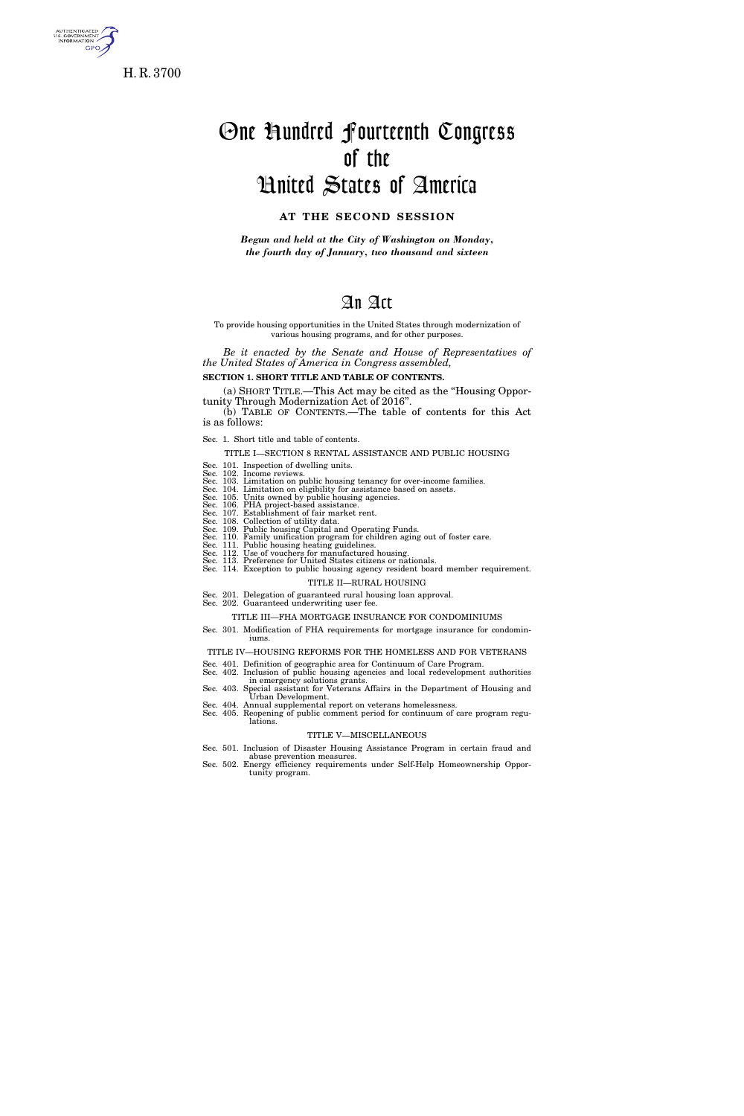

s. government<br>Information GPO

# One Hundred Fourteenth Congress of the United States of America

### **AT THE SECOND SESSION**

*Begun and held at the City of Washington on Monday, the fourth day of January, two thousand and sixteen* 

# An Act

#### To provide housing opportunities in the United States through modernization of various housing programs, and for other purposes.

*Be it enacted by the Senate and House of Representatives of the United States of America in Congress assembled,* 

**SECTION 1. SHORT TITLE AND TABLE OF CONTENTS.** 

(a) SHORT TITLE.—This Act may be cited as the ''Housing Opportunity Through Modernization Act of 2016''.

(b) TABLE OF CONTENTS.—The table of contents for this Act is as follows:

Sec. 1. Short title and table of contents.

TITLE I—SECTION 8 RENTAL ASSISTANCE AND PUBLIC HOUSING

Sec. 101. Inspection of dwelling units.<br>Sec. 102. Income reviews.<br>Sec. 103. Limitation on public housing tenancy for over-income families.<br>Sec. 103. Limitation on eligibility for assistance based on assets.<br>Sec. 105. Units

Sec. 114. Exception to public housing agency resident board member requirement.

TITLE II—RURAL HOUSING

Sec. 201. Delegation of guaranteed rural housing loan approval. Sec. 202. Guaranteed underwriting user fee.

#### TITLE III—FHA MORTGAGE INSURANCE FOR CONDOMINIUMS

Sec. 301. Modification of FHA requirements for mortgage insurance for condominiums.

TITLE IV—HOUSING REFORMS FOR THE HOMELESS AND FOR VETERANS

- Sec. 401. Definition of geographic area for Continuum of Care Program. Sec. 402. Inclusion of public housing agencies and local redevelopment authorities
- in emergency solutions grants. Sec. 403. Special assistant for Veterans Affairs in the Department of Housing and Urban Development.
- Sec. 404. Annual supplemental report on veterans homelessness. Sec. 405. Reopening of public comment period for continuum of care program regulations.

### TITLE V—MISCELLANEOUS

- Sec. 501. Inclusion of Disaster Housing Assistance Program in certain fraud and
- abuse prevention measures. Sec. 502. Energy efficiency requirements under Self-Help Homeownership Opportunity program.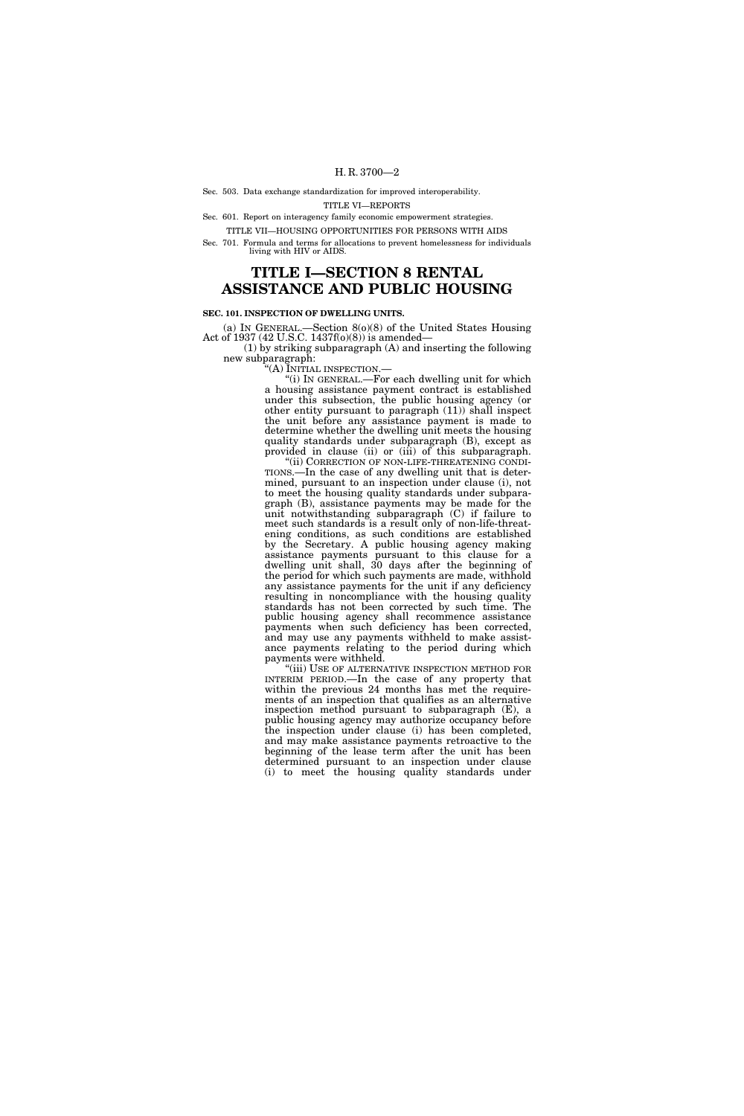#### Sec. 503. Data exchange standardization for improved interoperability. TITLE VI—REPORTS

Sec. 601. Report on interagency family economic empowerment strategies.

TITLE VII—HOUSING OPPORTUNITIES FOR PERSONS WITH AIDS

Sec. 701. Formula and terms for allocations to prevent homelessness for individuals living with HIV or AIDS.

# **TITLE I—SECTION 8 RENTAL ASSISTANCE AND PUBLIC HOUSING**

#### **SEC. 101. INSPECTION OF DWELLING UNITS.**

(a) IN GENERAL.—Section 8(o)(8) of the United States Housing Act of 1937 (42 U.S.C. 1437f(o)(8)) is amended—

(1) by striking subparagraph (A) and inserting the following new subparagraph:

''(A) INITIAL INSPECTION.—

''(i) IN GENERAL.—For each dwelling unit for which a housing assistance payment contract is established under this subsection, the public housing agency (or other entity pursuant to paragraph (11)) shall inspect the unit before any assistance payment is made to determine whether the dwelling unit meets the housing quality standards under subparagraph (B), except as provided in clause (ii) or (iii) of this subparagraph.

"(ii) CORRECTION OF NON-LIFE-THREATENING CONDI-TIONS.—In the case of any dwelling unit that is determined, pursuant to an inspection under clause (i), not to meet the housing quality standards under subparagraph (B), assistance payments may be made for the unit notwithstanding subparagraph (C) if failure to meet such standards is a result only of non-life-threatening conditions, as such conditions are established by the Secretary. A public housing agency making assistance payments pursuant to this clause for a dwelling unit shall, 30 days after the beginning of the period for which such payments are made, withhold any assistance payments for the unit if any deficiency resulting in noncompliance with the housing quality standards has not been corrected by such time. The public housing agency shall recommence assistance payments when such deficiency has been corrected, and may use any payments withheld to make assistance payments relating to the period during which payments were withheld.

''(iii) USE OF ALTERNATIVE INSPECTION METHOD FOR INTERIM PERIOD.—In the case of any property that within the previous 24 months has met the requirements of an inspection that qualifies as an alternative inspection method pursuant to subparagraph (E), a public housing agency may authorize occupancy before the inspection under clause (i) has been completed, and may make assistance payments retroactive to the beginning of the lease term after the unit has been determined pursuant to an inspection under clause (i) to meet the housing quality standards under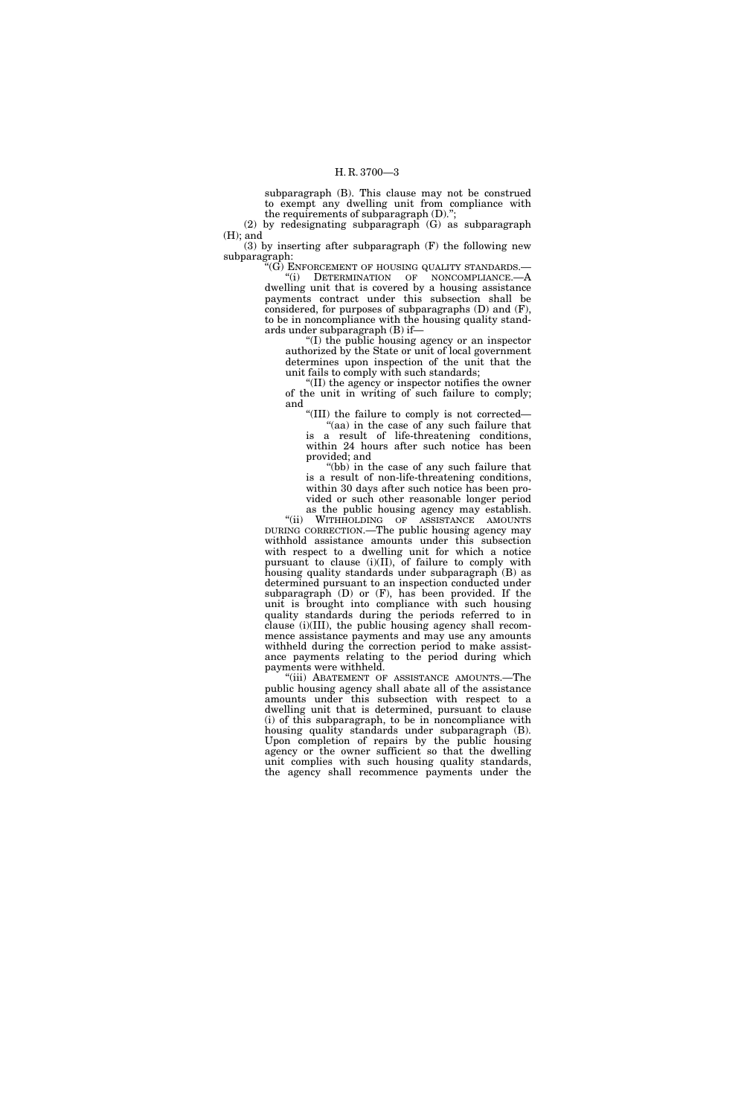subparagraph (B). This clause may not be construed to exempt any dwelling unit from compliance with the requirements of subparagraph (D).'';

(2) by redesignating subparagraph (G) as subparagraph (H); and

(3) by inserting after subparagraph (F) the following new subparagraph:

 $\mathcal{C}(G)$  ENFORCEMENT OF HOUSING QUALITY STANDARDS.— ''(i) DETERMINATION OF NONCOMPLIANCE.—A

dwelling unit that is covered by a housing assistance payments contract under this subsection shall be considered, for purposes of subparagraphs (D) and (F), to be in noncompliance with the housing quality standards under subparagraph (B) if—

''(I) the public housing agency or an inspector authorized by the State or unit of local government determines upon inspection of the unit that the unit fails to comply with such standards;

''(II) the agency or inspector notifies the owner of the unit in writing of such failure to comply; and

''(III) the failure to comply is not corrected— ''(aa) in the case of any such failure that is a result of life-threatening conditions, within 24 hours after such notice has been provided; and

"(bb) in the case of any such failure that is a result of non-life-threatening conditions, within 30 days after such notice has been provided or such other reasonable longer period as the public housing agency may establish.

''(ii) WITHHOLDING OF ASSISTANCE AMOUNTS DURING CORRECTION.—The public housing agency may withhold assistance amounts under this subsection with respect to a dwelling unit for which a notice pursuant to clause (i)(II), of failure to comply with housing quality standards under subparagraph (B) as determined pursuant to an inspection conducted under subparagraph (D) or (F), has been provided. If the unit is brought into compliance with such housing quality standards during the periods referred to in clause (i)(III), the public housing agency shall recommence assistance payments and may use any amounts withheld during the correction period to make assistance payments relating to the period during which payments were withheld.

"(iii) ABATEMENT OF ASSISTANCE AMOUNTS.—The public housing agency shall abate all of the assistance amounts under this subsection with respect to a dwelling unit that is determined, pursuant to clause (i) of this subparagraph, to be in noncompliance with housing quality standards under subparagraph (B). Upon completion of repairs by the public housing agency or the owner sufficient so that the dwelling unit complies with such housing quality standards, the agency shall recommence payments under the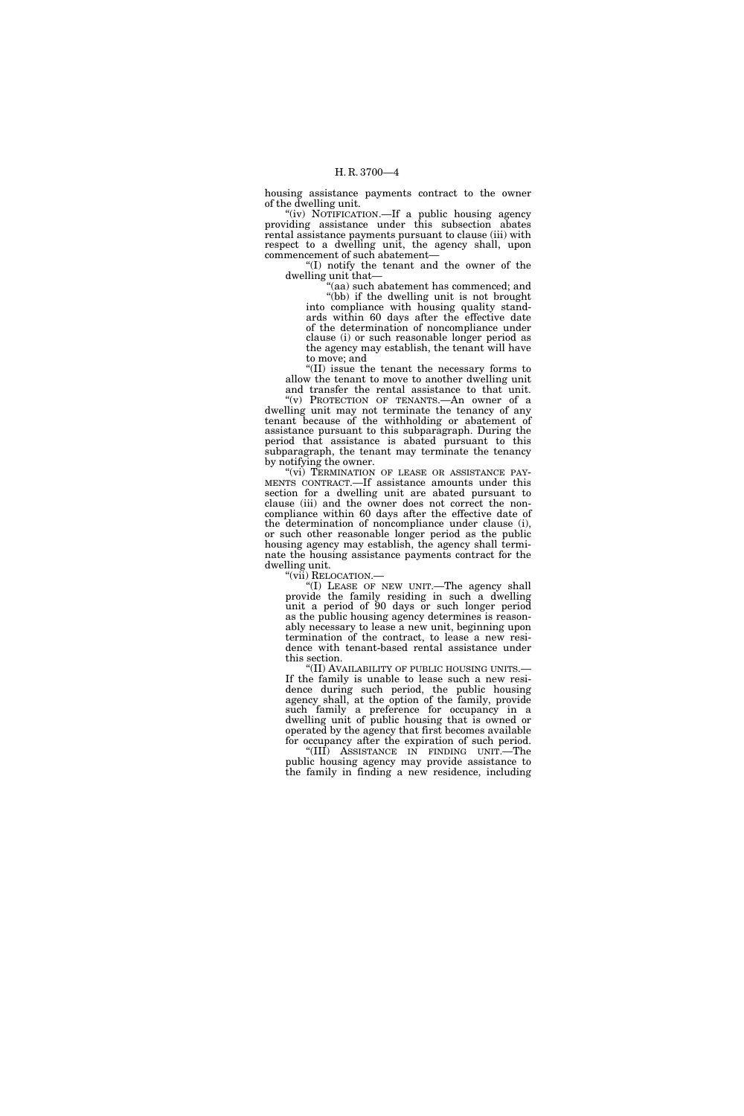housing assistance payments contract to the owner of the dwelling unit.

"(iv) NOTIFICATION.—If a public housing agency providing assistance under this subsection abates rental assistance payments pursuant to clause (iii) with respect to a dwelling unit, the agency shall, upon commencement of such abatement—

''(I) notify the tenant and the owner of the dwelling unit that—

'(aa) such abatement has commenced; and ''(bb) if the dwelling unit is not brought into compliance with housing quality standards within 60 days after the effective date of the determination of noncompliance under clause (i) or such reasonable longer period as the agency may establish, the tenant will have to move; and

''(II) issue the tenant the necessary forms to allow the tenant to move to another dwelling unit and transfer the rental assistance to that unit.

"(v) PROTECTION OF TENANTS.—An owner of a dwelling unit may not terminate the tenancy of any tenant because of the withholding or abatement of assistance pursuant to this subparagraph. During the period that assistance is abated pursuant to this subparagraph, the tenant may terminate the tenancy by notifying the owner.

"(vi) TERMINATION OF LEASE OR ASSISTANCE PAY-MENTS CONTRACT.—If assistance amounts under this section for a dwelling unit are abated pursuant to clause (iii) and the owner does not correct the noncompliance within 60 days after the effective date of the determination of noncompliance under clause (i), or such other reasonable longer period as the public housing agency may establish, the agency shall terminate the housing assistance payments contract for the dwelling unit.

''(vii) RELOCATION.— ''(I) LEASE OF NEW UNIT.—The agency shall provide the family residing in such a dwelling unit a period of 90 days or such longer period as the public housing agency determines is reasonably necessary to lease a new unit, beginning upon termination of the contract, to lease a new residence with tenant-based rental assistance under this section.

''(II) AVAILABILITY OF PUBLIC HOUSING UNITS.— If the family is unable to lease such a new residence during such period, the public housing agency shall, at the option of the family, provide such family a preference for occupancy in a dwelling unit of public housing that is owned or operated by the agency that first becomes available for occupancy after the expiration of such period.

''(III) ASSISTANCE IN FINDING UNIT.—The public housing agency may provide assistance to the family in finding a new residence, including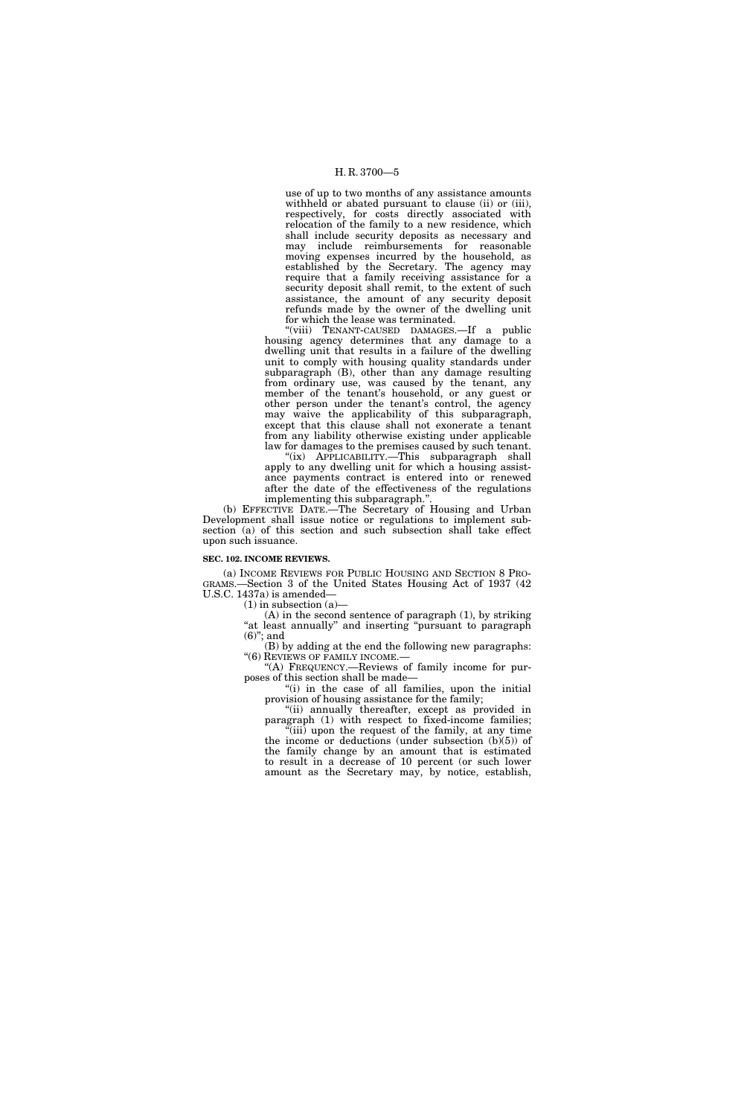use of up to two months of any assistance amounts withheld or abated pursuant to clause (ii) or (iii), respectively, for costs directly associated with relocation of the family to a new residence, which shall include security deposits as necessary and may include reimbursements for reasonable moving expenses incurred by the household, as established by the Secretary. The agency may require that a family receiving assistance for a security deposit shall remit, to the extent of such assistance, the amount of any security deposit refunds made by the owner of the dwelling unit for which the lease was terminated.

"(viii) TENANT-CAUSED DAMAGES.—If a public housing agency determines that any damage to a dwelling unit that results in a failure of the dwelling unit to comply with housing quality standards under subparagraph (B), other than any damage resulting from ordinary use, was caused by the tenant, any member of the tenant's household, or any guest or other person under the tenant's control, the agency may waive the applicability of this subparagraph, except that this clause shall not exonerate a tenant from any liability otherwise existing under applicable law for damages to the premises caused by such tenant.

"(ix) APPLICABILITY.—This subparagraph shall apply to any dwelling unit for which a housing assistance payments contract is entered into or renewed after the date of the effectiveness of the regulations implementing this subparagraph."

(b) EFFECTIVE DATE.—The Secretary of Housing and Urban Development shall issue notice or regulations to implement subsection (a) of this section and such subsection shall take effect upon such issuance.

#### **SEC. 102. INCOME REVIEWS.**

(a) INCOME REVIEWS FOR PUBLIC HOUSING AND SECTION 8 PRO-GRAMS.—Section 3 of the United States Housing Act of 1937 (42 U.S.C. 1437a) is amended—

(1) in subsection (a)—

(A) in the second sentence of paragraph (1), by striking "at least annually" and inserting "pursuant to paragraph  $(6)$ "; and

(B) by adding at the end the following new paragraphs: ''(6) REVIEWS OF FAMILY INCOME.—

''(A) FREQUENCY.—Reviews of family income for purposes of this section shall be made—

"(i) in the case of all families, upon the initial provision of housing assistance for the family;

"(ii) annually thereafter, except as provided in paragraph (1) with respect to fixed-income families;  $\sqrt[n]{\text{iii}}$  upon the request of the family, at any time

the income or deductions (under subsection  $(b)(5)$ ) of the family change by an amount that is estimated to result in a decrease of 10 percent (or such lower amount as the Secretary may, by notice, establish,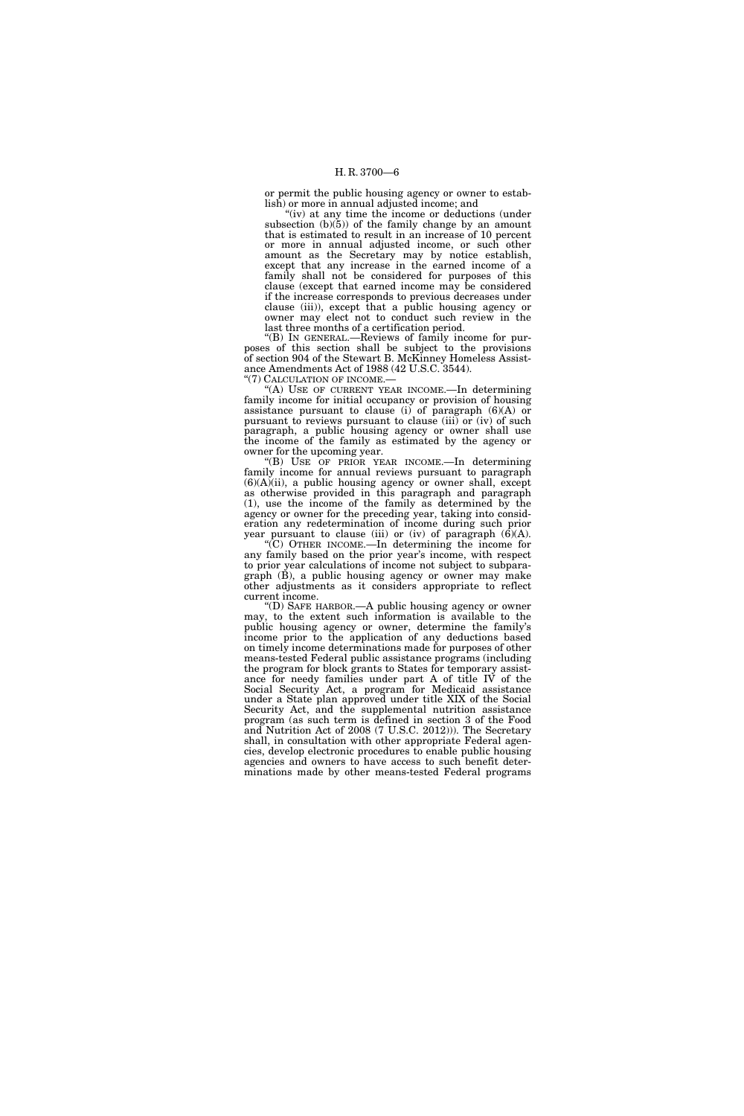or permit the public housing agency or owner to establish) or more in annual adjusted income; and

"(iv) at any time the income or deductions (under subsection  $(b)(5)$  of the family change by an amount that is estimated to result in an increase of 10 percent or more in annual adjusted income, or such other amount as the Secretary may by notice establish, except that any increase in the earned income of a family shall not be considered for purposes of this clause (except that earned income may be considered if the increase corresponds to previous decreases under clause (iii)), except that a public housing agency or owner may elect not to conduct such review in the last three months of a certification period.

''(B) IN GENERAL.—Reviews of family income for purposes of this section shall be subject to the provisions of section 904 of the Stewart B. McKinney Homeless Assistance Amendments Act of 1988 (42 U.S.C. 3544).

"(7) CALCULATION OF INCOME.

(A) USE OF CURRENT YEAR INCOME.—In determining family income for initial occupancy or provision of housing assistance pursuant to clause (i) of paragraph (6)(A) or pursuant to reviews pursuant to clause (iii) or (iv) of such paragraph, a public housing agency or owner shall use the income of the family as estimated by the agency or owner for the upcoming year.

''(B) USE OF PRIOR YEAR INCOME.—In determining family income for annual reviews pursuant to paragraph  $(6)(A)(ii)$ , a public housing agency or owner shall, except as otherwise provided in this paragraph and paragraph (1), use the income of the family as determined by the agency or owner for the preceding year, taking into consideration any redetermination of income during such prior year pursuant to clause (iii) or (iv) of paragraph  $(6)(A)$ .

''(C) OTHER INCOME.—In determining the income for any family based on the prior year's income, with respect to prior year calculations of income not subject to subpara $graph$   $(\dot{B})$ , a public housing agency or owner may make other adjustments as it considers appropriate to reflect current income.

''(D) SAFE HARBOR.—A public housing agency or owner may, to the extent such information is available to the public housing agency or owner, determine the family's income prior to the application of any deductions based on timely income determinations made for purposes of other means-tested Federal public assistance programs (including the program for block grants to States for temporary assistance for needy families under part A of title IV of the Social Security Act, a program for Medicaid assistance under a State plan approved under title XIX of the Social Security Act, and the supplemental nutrition assistance program (as such term is defined in section 3 of the Food and Nutrition Act of 2008 (7 U.S.C. 2012))). The Secretary shall, in consultation with other appropriate Federal agencies, develop electronic procedures to enable public housing agencies and owners to have access to such benefit determinations made by other means-tested Federal programs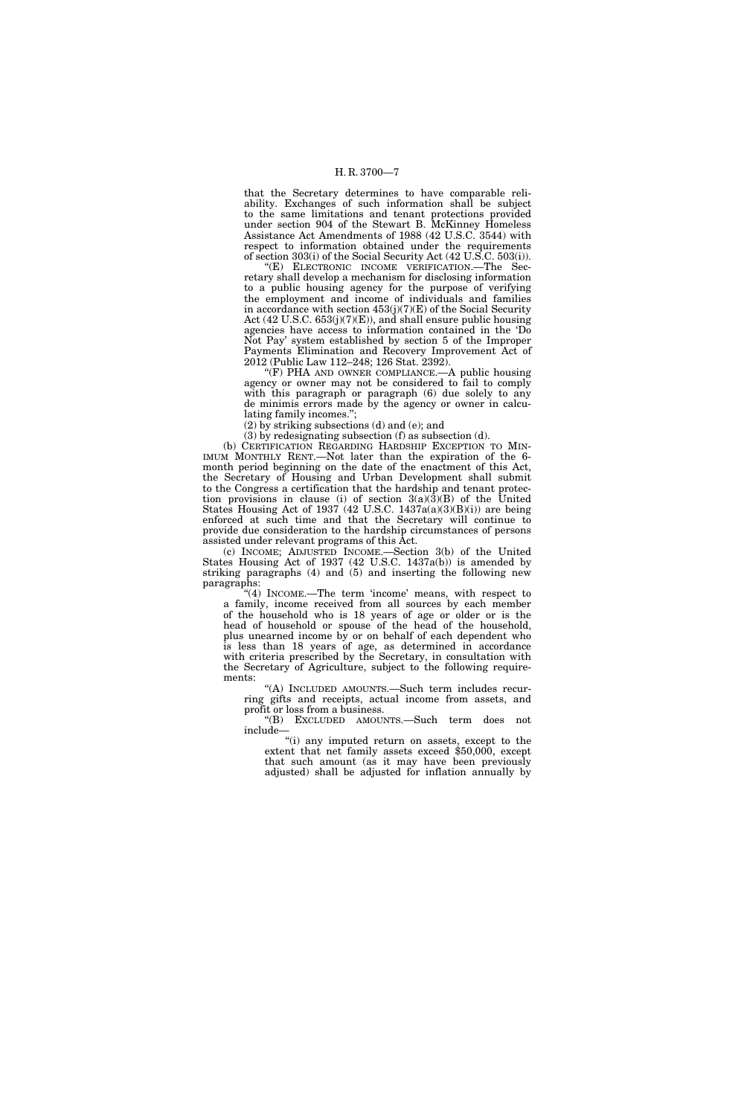that the Secretary determines to have comparable reliability. Exchanges of such information shall be subject to the same limitations and tenant protections provided under section 904 of the Stewart B. McKinney Homeless Assistance Act Amendments of 1988 (42 U.S.C. 3544) with respect to information obtained under the requirements of section 303(i) of the Social Security Act (42 U.S.C. 503(i)).

''(E) ELECTRONIC INCOME VERIFICATION.—The Secretary shall develop a mechanism for disclosing information to a public housing agency for the purpose of verifying the employment and income of individuals and families in accordance with section  $453(j)(7)(E)$  of the Social Security Act (42 U.S.C. 653(j)(7)(E)), and shall ensure public housing agencies have access to information contained in the 'Do Not Pay' system established by section 5 of the Improper Payments Elimination and Recovery Improvement Act of 2012 (Public Law 112–248; 126 Stat. 2392).

''(F) PHA AND OWNER COMPLIANCE.—A public housing agency or owner may not be considered to fail to comply with this paragraph or paragraph (6) due solely to any de minimis errors made by the agency or owner in calculating family incomes.'';

(2) by striking subsections (d) and (e); and

(3) by redesignating subsection (f) as subsection (d).

(b) CERTIFICATION REGARDING HARDSHIP EXCEPTION TO MIN-IMUM MONTHLY RENT.—Not later than the expiration of the 6 month period beginning on the date of the enactment of this Act, the Secretary of Housing and Urban Development shall submit to the Congress a certification that the hardship and tenant protection provisions in clause (i) of section  $3(a)(\overline{3})(B)$  of the United States Housing Act of 1937 (42 U.S.C. 1437a(a)(3)(B)(i)) are being enforced at such time and that the Secretary will continue to provide due consideration to the hardship circumstances of persons assisted under relevant programs of this Act.

(c) INCOME; ADJUSTED INCOME.—Section 3(b) of the United States Housing Act of 1937 (42 U.S.C. 1437a(b)) is amended by striking paragraphs (4) and (5) and inserting the following new paragraphs:

"(4) INCOME.—The term 'income' means, with respect to a family, income received from all sources by each member of the household who is 18 years of age or older or is the head of household or spouse of the head of the household, plus unearned income by or on behalf of each dependent who is less than 18 years of age, as determined in accordance with criteria prescribed by the Secretary, in consultation with the Secretary of Agriculture, subject to the following requirements:

''(A) INCLUDED AMOUNTS.—Such term includes recurring gifts and receipts, actual income from assets, and profit or loss from a business.

''(B) EXCLUDED AMOUNTS.—Such term does not include—

''(i) any imputed return on assets, except to the extent that net family assets exceed \$50,000, except that such amount (as it may have been previously adjusted) shall be adjusted for inflation annually by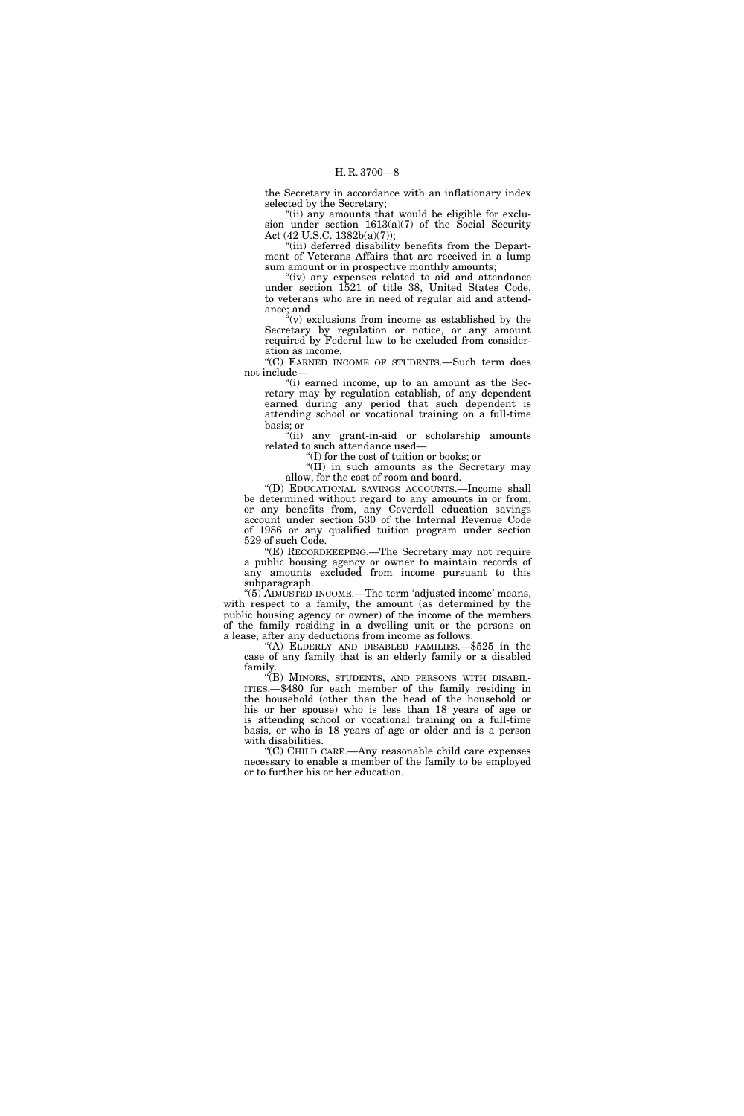the Secretary in accordance with an inflationary index selected by the Secretary;

"(ii) any amounts that would be eligible for exclusion under section 1613(a)(7) of the Social Security Act (42 U.S.C. 1382b(a)(7));

"(iii) deferred disability benefits from the Department of Veterans Affairs that are received in a lump sum amount or in prospective monthly amounts;

"(iv) any expenses related to aid and attendance under section 1521 of title 38, United States Code, to veterans who are in need of regular aid and attendance; and

 $\mathcal{H}(v)$  exclusions from income as established by the Secretary by regulation or notice, or any amount required by Federal law to be excluded from consideration as income.

''(C) EARNED INCOME OF STUDENTS.—Such term does not include—

''(i) earned income, up to an amount as the Secretary may by regulation establish, of any dependent earned during any period that such dependent is attending school or vocational training on a full-time basis; or

''(ii) any grant-in-aid or scholarship amounts related to such attendance used—

''(I) for the cost of tuition or books; or

''(II) in such amounts as the Secretary may allow, for the cost of room and board.

''(D) EDUCATIONAL SAVINGS ACCOUNTS.—Income shall be determined without regard to any amounts in or from, or any benefits from, any Coverdell education savings account under section 530 of the Internal Revenue Code of 1986 or any qualified tuition program under section 529 of such Code.

''(E) RECORDKEEPING.—The Secretary may not require a public housing agency or owner to maintain records of any amounts excluded from income pursuant to this subparagraph.

''(5) ADJUSTED INCOME.—The term 'adjusted income' means, with respect to a family, the amount (as determined by the public housing agency or owner) of the income of the members of the family residing in a dwelling unit or the persons on a lease, after any deductions from income as follows:

''(A) ELDERLY AND DISABLED FAMILIES.—\$525 in the case of any family that is an elderly family or a disabled family.

"(B) MINORS, STUDENTS, AND PERSONS WITH DISABIL-ITIES.—\$480 for each member of the family residing in the household (other than the head of the household or his or her spouse) who is less than 18 years of age or is attending school or vocational training on a full-time basis, or who is 18 years of age or older and is a person with disabilities.

''(C) CHILD CARE.—Any reasonable child care expenses necessary to enable a member of the family to be employed or to further his or her education.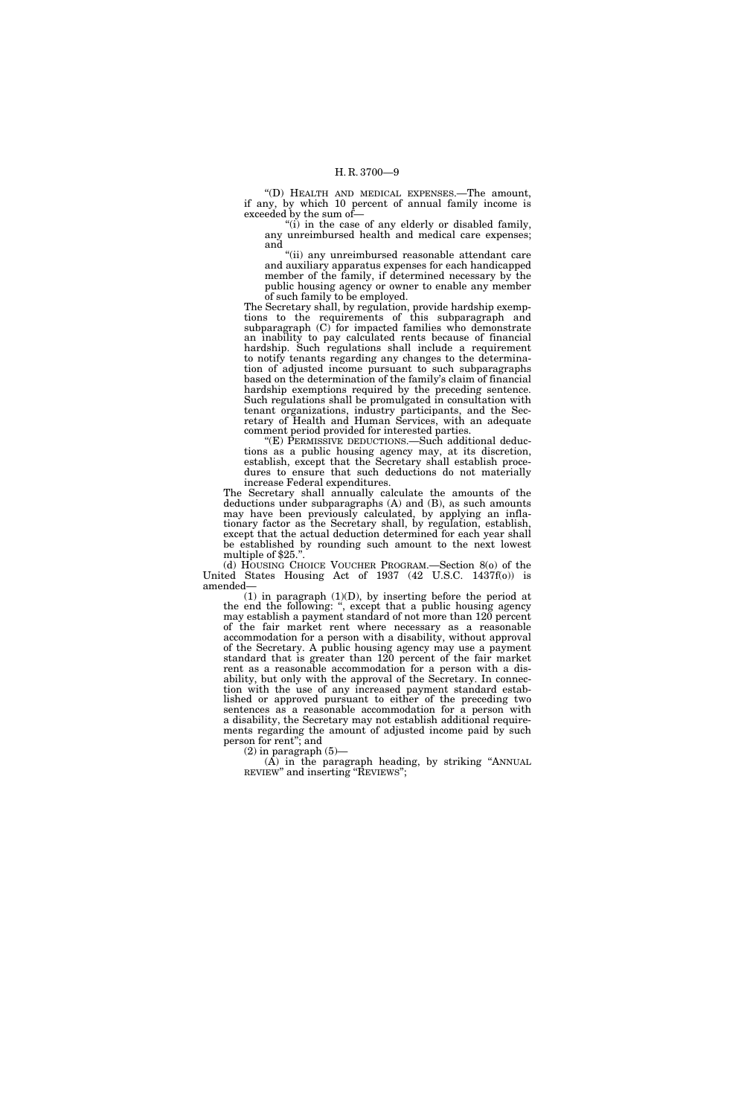''(D) HEALTH AND MEDICAL EXPENSES.—The amount, if any, by which 10 percent of annual family income is exceeded by the sum of—

"(i) in the case of any elderly or disabled family, any unreimbursed health and medical care expenses; and

''(ii) any unreimbursed reasonable attendant care and auxiliary apparatus expenses for each handicapped member of the family, if determined necessary by the public housing agency or owner to enable any member of such family to be employed.

The Secretary shall, by regulation, provide hardship exemptions to the requirements of this subparagraph and subparagraph (C) for impacted families who demonstrate an inability to pay calculated rents because of financial hardship. Such regulations shall include a requirement to notify tenants regarding any changes to the determination of adjusted income pursuant to such subparagraphs based on the determination of the family's claim of financial hardship exemptions required by the preceding sentence. Such regulations shall be promulgated in consultation with tenant organizations, industry participants, and the Secretary of Health and Human Services, with an adequate comment period provided for interested parties.

''(E) PERMISSIVE DEDUCTIONS.—Such additional deductions as a public housing agency may, at its discretion, establish, except that the Secretary shall establish procedures to ensure that such deductions do not materially increase Federal expenditures.

The Secretary shall annually calculate the amounts of the deductions under subparagraphs (A) and (B), as such amounts may have been previously calculated, by applying an inflationary factor as the Secretary shall, by regulation, establish, except that the actual deduction determined for each year shall be established by rounding such amount to the next lowest multiple of \$25."

(d) HOUSING CHOICE VOUCHER PROGRAM.—Section 8(o) of the United States Housing Act of 1937 (42 U.S.C. 1437f(o)) is amended—

(1) in paragraph (1)(D), by inserting before the period at the end the following: '', except that a public housing agency may establish a payment standard of not more than 120 percent of the fair market rent where necessary as a reasonable accommodation for a person with a disability, without approval of the Secretary. A public housing agency may use a payment standard that is greater than 120 percent of the fair market rent as a reasonable accommodation for a person with a disability, but only with the approval of the Secretary. In connection with the use of any increased payment standard established or approved pursuant to either of the preceding two sentences as a reasonable accommodation for a person with a disability, the Secretary may not establish additional requirements regarding the amount of adjusted income paid by such person for rent''; and

(2) in paragraph (5)—

 $(A)$  in the paragraph heading, by striking "ANNUAL REVIEW" and inserting "REVIEWS";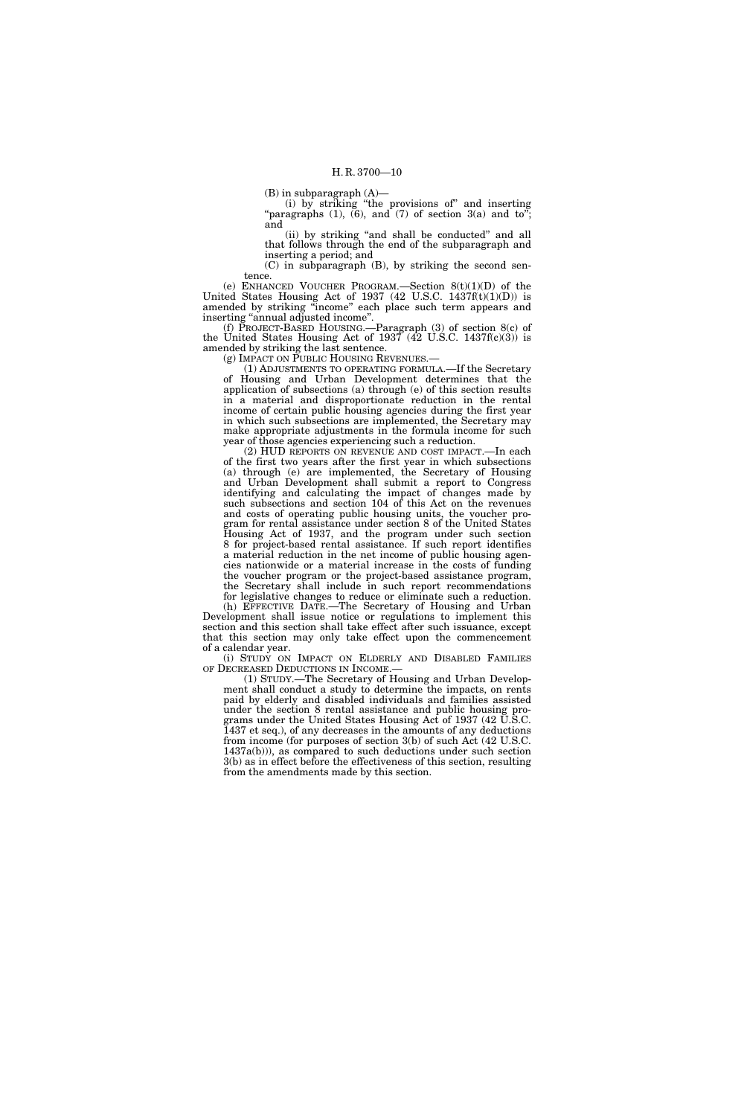(B) in subparagraph (A)—

(i) by striking ''the provisions of'' and inserting "paragraphs  $(1)$ ,  $(6)$ , and  $(7)$  of section  $3(a)$  and to"; and

(ii) by striking ''and shall be conducted'' and all that follows through the end of the subparagraph and inserting a period; and

(C) in subparagraph (B), by striking the second sentence.

(e) ENHANCED VOUCHER PROGRAM.—Section  $8(t)(1)(D)$  of the United States Housing Act of 1937  $(42 \text{ U.S.C. } 1437\text{ft}(t)(1)(D))$  is amended by striking ''income'' each place such term appears and inserting ''annual adjusted income''.

(f) PROJECT-BASED HOUSING.—Paragraph (3) of section 8(c) of the United States Housing Act of  $1937 \ (42 \text{ U.S.C. } 1437 \text{f(c)}(3))$  is amended by striking the last sentence.

(g) IMPACT ON PUBLIC HOUSING REVENUES.

(1) ADJUSTMENTS TO OPERATING FORMULA.—If the Secretary of Housing and Urban Development determines that the application of subsections (a) through (e) of this section results in a material and disproportionate reduction in the rental income of certain public housing agencies during the first year in which such subsections are implemented, the Secretary may make appropriate adjustments in the formula income for such year of those agencies experiencing such a reduction.

(2) HUD REPORTS ON REVENUE AND COST IMPACT.—In each of the first two years after the first year in which subsections (a) through (e) are implemented, the Secretary of Housing and Urban Development shall submit a report to Congress identifying and calculating the impact of changes made by such subsections and section 104 of this Act on the revenues and costs of operating public housing units, the voucher program for rental assistance under section 8 of the United States Housing Act of 1937, and the program under such section 8 for project-based rental assistance. If such report identifies a material reduction in the net income of public housing agencies nationwide or a material increase in the costs of funding the voucher program or the project-based assistance program, the Secretary shall include in such report recommendations for legislative changes to reduce or eliminate such a reduction.

(h) EFFECTIVE DATE.—The Secretary of Housing and Urban Development shall issue notice or regulations to implement this section and this section shall take effect after such issuance, except that this section may only take effect upon the commencement of a calendar year.

(i) STUDY ON IMPACT ON ELDERLY AND DISABLED FAMILIES OF DECREASED DEDUCTIONS IN INCOME.— (1) STUDY.—The Secretary of Housing and Urban Develop-

ment shall conduct a study to determine the impacts, on rents paid by elderly and disabled individuals and families assisted under the section 8 rental assistance and public housing programs under the United States Housing Act of 1937 (42 U.S.C. 1437 et seq.), of any decreases in the amounts of any deductions from income (for purposes of section 3(b) of such Act (42 U.S.C. 1437a(b))), as compared to such deductions under such section 3(b) as in effect before the effectiveness of this section, resulting from the amendments made by this section.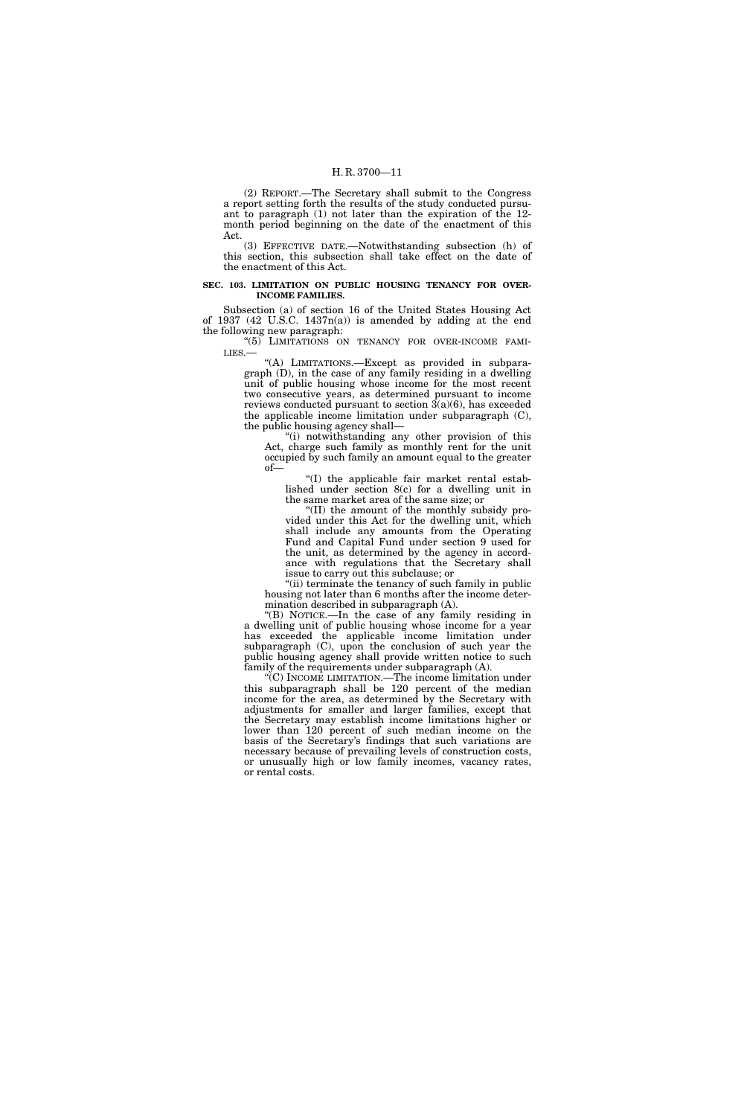(2) REPORT.—The Secretary shall submit to the Congress a report setting forth the results of the study conducted pursuant to paragraph (1) not later than the expiration of the 12 month period beginning on the date of the enactment of this Act.

(3) EFFECTIVE DATE.—Notwithstanding subsection (h) of this section, this subsection shall take effect on the date of the enactment of this Act.

#### **SEC. 103. LIMITATION ON PUBLIC HOUSING TENANCY FOR OVER-INCOME FAMILIES.**

Subsection (a) of section 16 of the United States Housing Act of 1937 (42 U.S.C. 1437n(a)) is amended by adding at the end the following new paragraph:

''(5) LIMITATIONS ON TENANCY FOR OVER-INCOME FAMI-LIES.—

"(A) LIMITATIONS.—Except as provided in subparagraph (D), in the case of any family residing in a dwelling unit of public housing whose income for the most recent two consecutive years, as determined pursuant to income reviews conducted pursuant to section  $\overline{3}(a)(6)$ , has exceeded the applicable income limitation under subparagraph (C), the public housing agency shall—

''(i) notwithstanding any other provision of this Act, charge such family as monthly rent for the unit occupied by such family an amount equal to the greater of—

''(I) the applicable fair market rental established under section 8(c) for a dwelling unit in the same market area of the same size; or

''(II) the amount of the monthly subsidy provided under this Act for the dwelling unit, which shall include any amounts from the Operating Fund and Capital Fund under section 9 used for the unit, as determined by the agency in accordance with regulations that the Secretary shall issue to carry out this subclause; or

"(ii) terminate the tenancy of such family in public housing not later than 6 months after the income determination described in subparagraph (A).

''(B) NOTICE.—In the case of any family residing in a dwelling unit of public housing whose income for a year has exceeded the applicable income limitation under subparagraph (C), upon the conclusion of such year the public housing agency shall provide written notice to such family of the requirements under subparagraph (A).

"(C) INCOME LIMITATION.—The income limitation under this subparagraph shall be 120 percent of the median income for the area, as determined by the Secretary with adjustments for smaller and larger families, except that the Secretary may establish income limitations higher or lower than 120 percent of such median income on the basis of the Secretary's findings that such variations are necessary because of prevailing levels of construction costs, or unusually high or low family incomes, vacancy rates, or rental costs.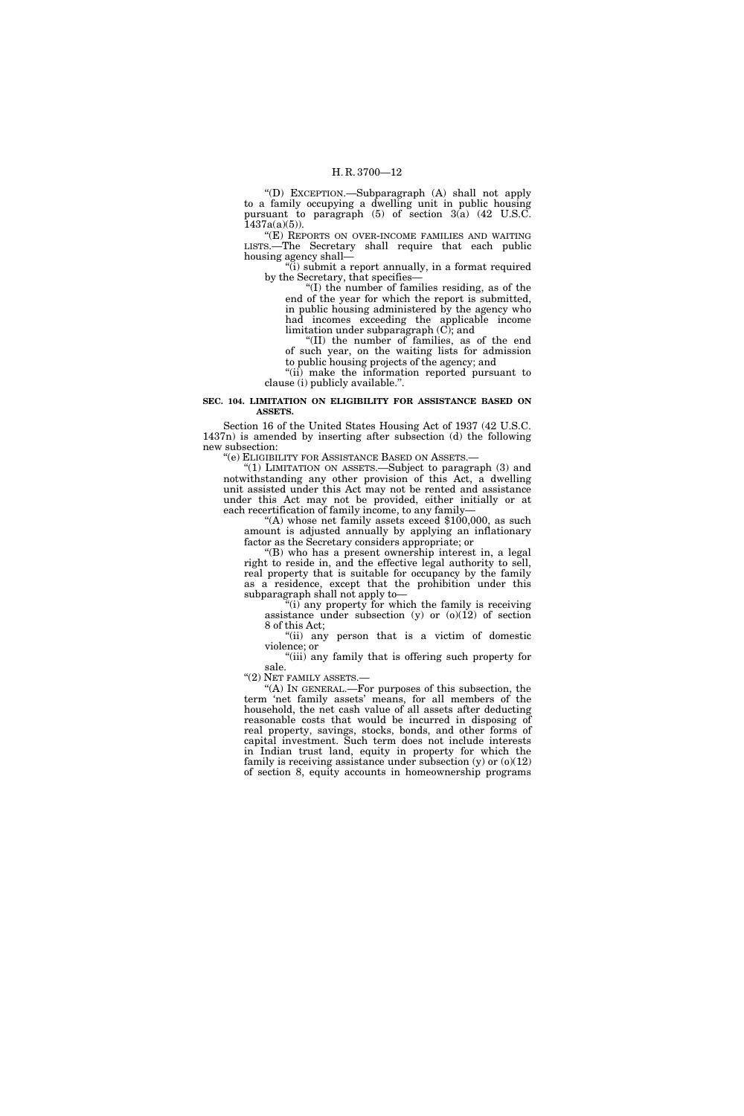''(D) EXCEPTION.—Subparagraph (A) shall not apply to a family occupying a dwelling unit in public housing pursuant to paragraph  $(5)$  of section  $3(a)$   $(42 \text{ U.S. C.})$  $1437a(a)(5)$ ).

"(E) REPORTS ON OVER-INCOME FAMILIES AND WAITING LISTS.—The Secretary shall require that each public housing agency shall—

 $(i)$  submit a report annually, in a format required by the Secretary, that specifies—

''(I) the number of families residing, as of the end of the year for which the report is submitted, in public housing administered by the agency who had incomes exceeding the applicable income limitation under subparagraph (C); and

''(II) the number of families, as of the end of such year, on the waiting lists for admission to public housing projects of the agency; and

''(ii) make the information reported pursuant to clause (i) publicly available.''.

#### **SEC. 104. LIMITATION ON ELIGIBILITY FOR ASSISTANCE BASED ON ASSETS.**

Section 16 of the United States Housing Act of 1937 (42 U.S.C. 1437n) is amended by inserting after subsection (d) the following new subsection:

''(e) ELIGIBILITY FOR ASSISTANCE BASED ON ASSETS.—

"(1) LIMITATION ON ASSETS.—Subject to paragraph (3) and notwithstanding any other provision of this Act, a dwelling unit assisted under this Act may not be rented and assistance under this Act may not be provided, either initially or at each recertification of family income, to any family—

"(A) whose net family assets exceed \$100,000, as such amount is adjusted annually by applying an inflationary factor as the Secretary considers appropriate; or

 $(B)$  who has a present ownership interest in, a legal right to reside in, and the effective legal authority to sell, real property that is suitable for occupancy by the family as a residence, except that the prohibition under this subparagraph shall not apply to—

 $\tilde{f}$ (i) any property for which the family is receiving assistance under subsection (y) or  $(0)(12)$  of section 8 of this Act;

''(ii) any person that is a victim of domestic violence; or

"(iii) any family that is offering such property for sale.

''(2) NET FAMILY ASSETS.—

''(A) IN GENERAL.—For purposes of this subsection, the term 'net family assets' means, for all members of the household, the net cash value of all assets after deducting reasonable costs that would be incurred in disposing of real property, savings, stocks, bonds, and other forms of capital investment. Such term does not include interests in Indian trust land, equity in property for which the family is receiving assistance under subsection  $(y)$  or  $(0)(12)$ of section 8, equity accounts in homeownership programs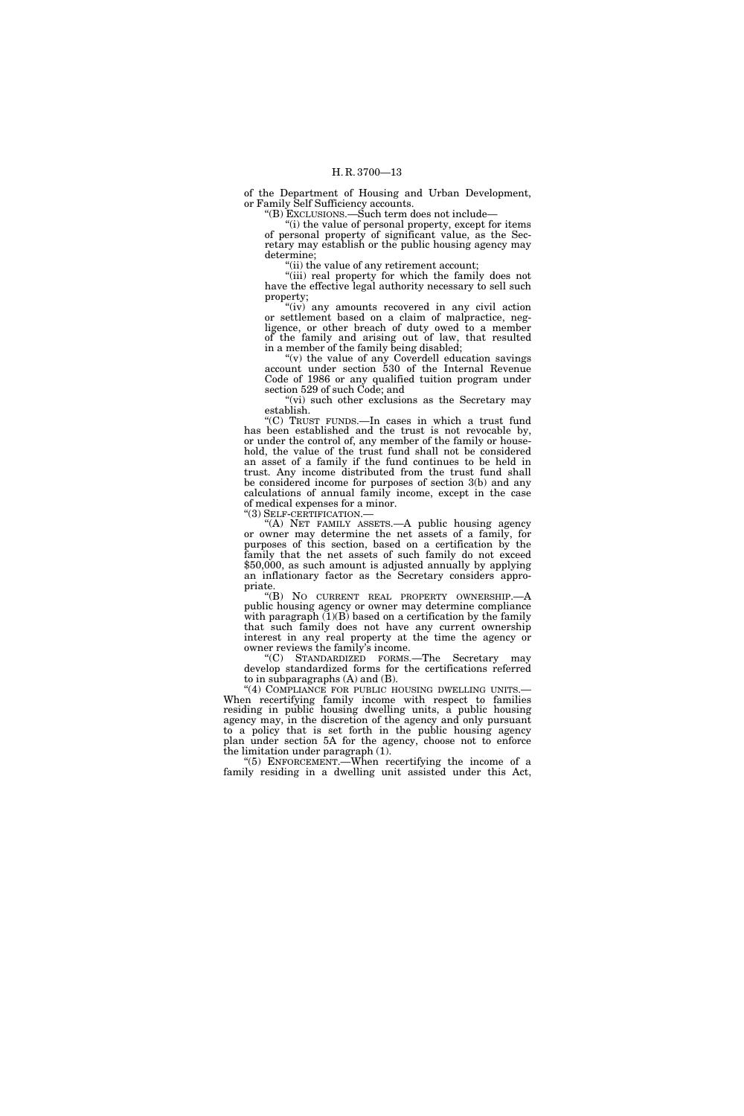of the Department of Housing and Urban Development, or Family Self Sufficiency accounts.

''(B) EXCLUSIONS.—Such term does not include—

"(i) the value of personal property, except for items of personal property of significant value, as the Secretary may establish or the public housing agency may determine;

 $\hat{f}$ (ii) the value of any retirement account;

"(iii) real property for which the family does not have the effective legal authority necessary to sell such property;

"(iv) any amounts recovered in any civil action or settlement based on a claim of malpractice, negligence, or other breach of duty owed to a member of the family and arising out of law, that resulted in a member of the family being disabled;

"(v) the value of any Coverdell education savings" account under section 530 of the Internal Revenue Code of 1986 or any qualified tuition program under section 529 of such Code; and

"(vi) such other exclusions as the Secretary may establish.

''(C) TRUST FUNDS.—In cases in which a trust fund has been established and the trust is not revocable by, or under the control of, any member of the family or household, the value of the trust fund shall not be considered an asset of a family if the fund continues to be held in trust. Any income distributed from the trust fund shall be considered income for purposes of section 3(b) and any calculations of annual family income, except in the case of medical expenses for a minor.

''(3) SELF-CERTIFICATION.—

''(A) NET FAMILY ASSETS.—A public housing agency or owner may determine the net assets of a family, for purposes of this section, based on a certification by the family that the net assets of such family do not exceed \$50,000, as such amount is adjusted annually by applying an inflationary factor as the Secretary considers appropriate.

''(B) NO CURRENT REAL PROPERTY OWNERSHIP.—A public housing agency or owner may determine compliance with paragraph  $(1)(B)$  based on a certification by the family that such family does not have any current ownership interest in any real property at the time the agency or owner reviews the family's income.

''(C) STANDARDIZED FORMS.—The Secretary may develop standardized forms for the certifications referred to in subparagraphs (A) and (B).<br>"(4) COMPLIANCE FOR PUBLIC HOUSING DWELLING UNITS.—

When recertifying family income with respect to families residing in public housing dwelling units, a public housing agency may, in the discretion of the agency and only pursuant to a policy that is set forth in the public housing agency plan under section 5A for the agency, choose not to enforce the limitation under paragraph (1).

''(5) ENFORCEMENT.—When recertifying the income of a family residing in a dwelling unit assisted under this Act,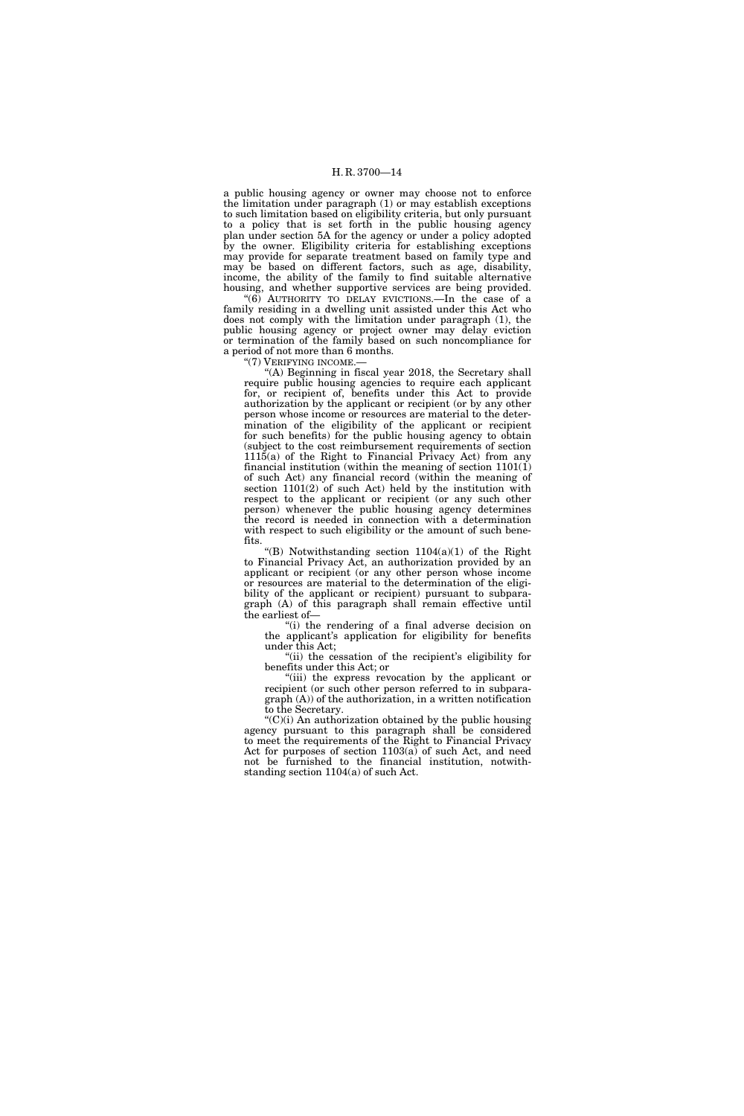a public housing agency or owner may choose not to enforce the limitation under paragraph (1) or may establish exceptions to such limitation based on eligibility criteria, but only pursuant to a policy that is set forth in the public housing agency plan under section 5A for the agency or under a policy adopted by the owner. Eligibility criteria for establishing exceptions may provide for separate treatment based on family type and may be based on different factors, such as age, disability, income, the ability of the family to find suitable alternative housing, and whether supportive services are being provided.

" $(6)$  AUTHORITY TO DELAY EVICTIONS.—In the case of a family residing in a dwelling unit assisted under this Act who does not comply with the limitation under paragraph (1), the public housing agency or project owner may delay eviction or termination of the family based on such noncompliance for a period of not more than 6 months.

''(7) VERIFYING INCOME.—

"(A) Beginning in fiscal year 2018, the Secretary shall require public housing agencies to require each applicant for, or recipient of, benefits under this Act to provide authorization by the applicant or recipient (or by any other person whose income or resources are material to the determination of the eligibility of the applicant or recipient for such benefits) for the public housing agency to obtain (subject to the cost reimbursement requirements of section  $1115(a)$  of the Right to Financial Privacy Act) from any financial institution (within the meaning of section  $1101(1)$ ) of such Act) any financial record (within the meaning of section  $1101(2)$  of such Act) held by the institution with respect to the applicant or recipient (or any such other person) whenever the public housing agency determines the record is needed in connection with a determination with respect to such eligibility or the amount of such benefits.

"(B) Notwithstanding section  $1104(a)(1)$  of the Right to Financial Privacy Act, an authorization provided by an applicant or recipient (or any other person whose income or resources are material to the determination of the eligibility of the applicant or recipient) pursuant to subparagraph (A) of this paragraph shall remain effective until the earliest of—

 $(i)$  the rendering of a final adverse decision on the applicant's application for eligibility for benefits under this Act;

"(ii) the cessation of the recipient's eligibility for benefits under this Act; or

''(iii) the express revocation by the applicant or recipient (or such other person referred to in subparagraph (A)) of the authorization, in a written notification to the Secretary.

 $(C)(i)$  An authorization obtained by the public housing agency pursuant to this paragraph shall be considered to meet the requirements of the Right to Financial Privacy Act for purposes of section 1103(a) of such Act, and need not be furnished to the financial institution, notwithstanding section 1104(a) of such Act.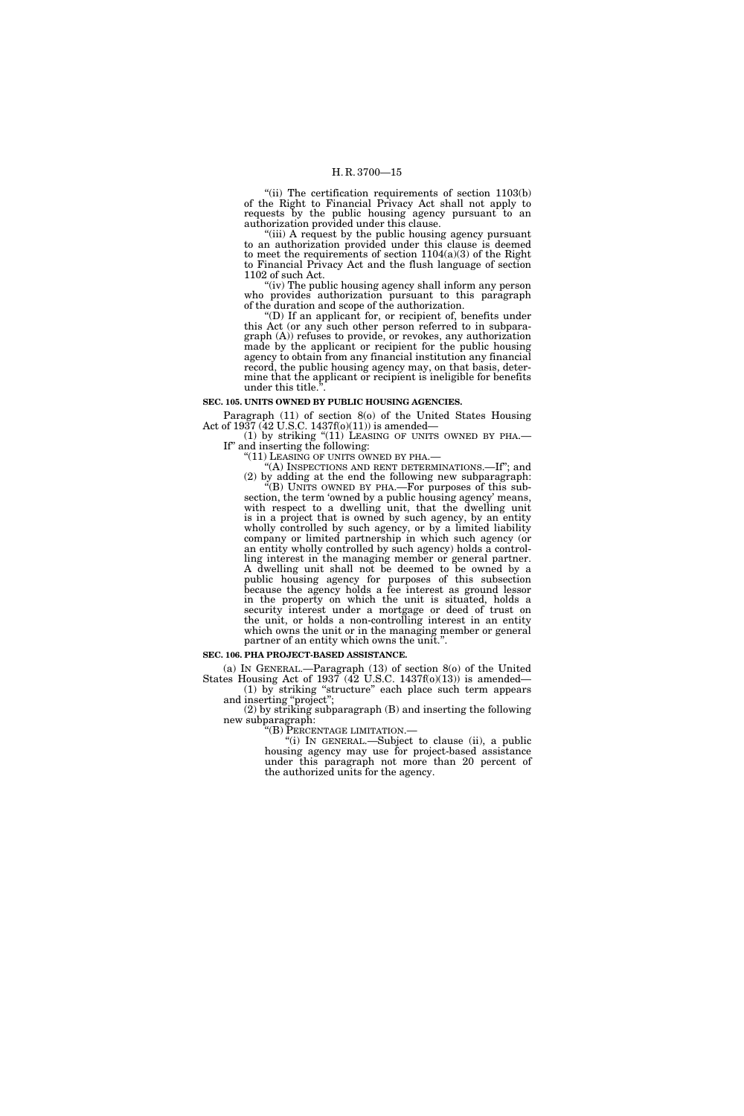"(ii) The certification requirements of section 1103(b) of the Right to Financial Privacy Act shall not apply to requests by the public housing agency pursuant to an authorization provided under this clause.

"(iii) A request by the public housing agency pursuant to an authorization provided under this clause is deemed to meet the requirements of section 1104(a)(3) of the Right to Financial Privacy Act and the flush language of section 1102 of such Act.

"(iv) The public housing agency shall inform any person who provides authorization pursuant to this paragraph of the duration and scope of the authorization.

(D) If an applicant for, or recipient of, benefits under this Act (or any such other person referred to in subparagraph (A)) refuses to provide, or revokes, any authorization made by the applicant or recipient for the public housing agency to obtain from any financial institution any financial record, the public housing agency may, on that basis, determine that the applicant or recipient is ineligible for benefits under this title.''.

#### **SEC. 105. UNITS OWNED BY PUBLIC HOUSING AGENCIES.**

Paragraph (11) of section 8(o) of the United States Housing Act of 1937 (42 U.S.C. 1437f(o)(11)) is amended—

(1) by striking " $(11)$  LEASING OF UNITS OWNED BY PHA.— If" and inserting the following:

"(11) LEASING OF UNITS OWNED BY PHA.—  $\H$ "(A) INSPECTIONS AND RENT DETERMINATIONS.—If"; and

(2) by adding at the end the following new subparagraph: ''(B) UNITS OWNED BY PHA.—For purposes of this subsection, the term 'owned by a public housing agency' means, with respect to a dwelling unit, that the dwelling unit is in a project that is owned by such agency, by an entity wholly controlled by such agency, or by a limited liability company or limited partnership in which such agency (or an entity wholly controlled by such agency) holds a controlling interest in the managing member or general partner. A dwelling unit shall not be deemed to be owned by a public housing agency for purposes of this subsection because the agency holds a fee interest as ground lessor in the property on which the unit is situated, holds a security interest under a mortgage or deed of trust on the unit, or holds a non-controlling interest in an entity which owns the unit or in the managing member or general partner of an entity which owns the unit.''.

#### **SEC. 106. PHA PROJECT-BASED ASSISTANCE.**

(a) IN GENERAL.—Paragraph (13) of section 8(o) of the United States Housing Act of 1937 ( $\overline{42}$  U.S.C. 1437f(o)(13)) is amended— (1) by striking ''structure'' each place such term appears

and inserting "project";

(2) by striking subparagraph (B) and inserting the following new subparagraph:

''(B) PERCENTAGE LIMITATION.—

"(i) IN GENERAL.—Subject to clause (ii), a public housing agency may use for project-based assistance under this paragraph not more than 20 percent of the authorized units for the agency.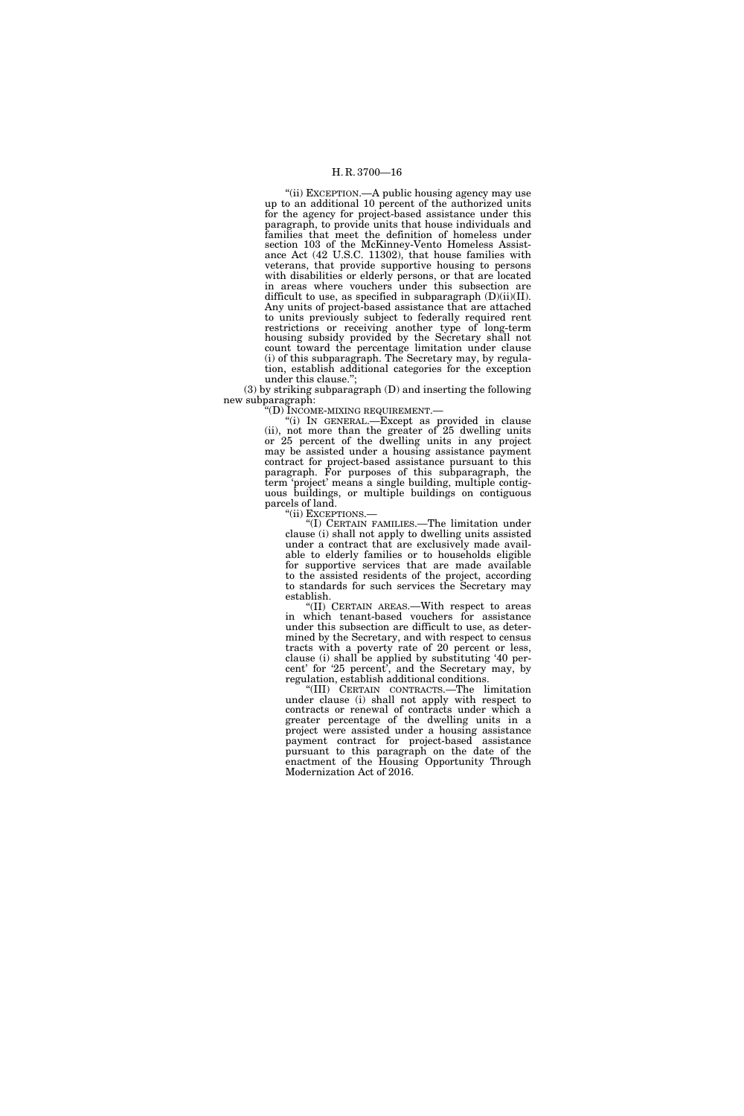"(ii) EXCEPTION.—A public housing agency may use up to an additional 10 percent of the authorized units for the agency for project-based assistance under this paragraph, to provide units that house individuals and families that meet the definition of homeless under section 103 of the McKinney-Vento Homeless Assistance Act (42 U.S.C. 11302), that house families with veterans, that provide supportive housing to persons with disabilities or elderly persons, or that are located in areas where vouchers under this subsection are difficult to use, as specified in subparagraph  $(D)(ii)(II)$ . Any units of project-based assistance that are attached to units previously subject to federally required rent restrictions or receiving another type of long-term housing subsidy provided by the Secretary shall not count toward the percentage limitation under clause (i) of this subparagraph. The Secretary may, by regulation, establish additional categories for the exception under this clause.'';

(3) by striking subparagraph (D) and inserting the following new subparagraph:

''(D) INCOME-MIXING REQUIREMENT.—

''(i) IN GENERAL.—Except as provided in clause (ii), not more than the greater of 25 dwelling units or 25 percent of the dwelling units in any project may be assisted under a housing assistance payment contract for project-based assistance pursuant to this paragraph. For purposes of this subparagraph, the term 'project' means a single building, multiple contiguous buildings, or multiple buildings on contiguous parcels of land.

''(ii) EXCEPTIONS.—

''(I) CERTAIN FAMILIES.—The limitation under clause (i) shall not apply to dwelling units assisted under a contract that are exclusively made available to elderly families or to households eligible for supportive services that are made available to the assisted residents of the project, according to standards for such services the Secretary may establish.

''(II) CERTAIN AREAS.—With respect to areas in which tenant-based vouchers for assistance under this subsection are difficult to use, as determined by the Secretary, and with respect to census tracts with a poverty rate of 20 percent or less, clause (i) shall be applied by substituting '40 percent' for '25 percent', and the Secretary may, by regulation, establish additional conditions.

''(III) CERTAIN CONTRACTS.—The limitation under clause (i) shall not apply with respect to contracts or renewal of contracts under which a greater percentage of the dwelling units in a project were assisted under a housing assistance payment contract for project-based assistance pursuant to this paragraph on the date of the enactment of the Housing Opportunity Through Modernization Act of 2016.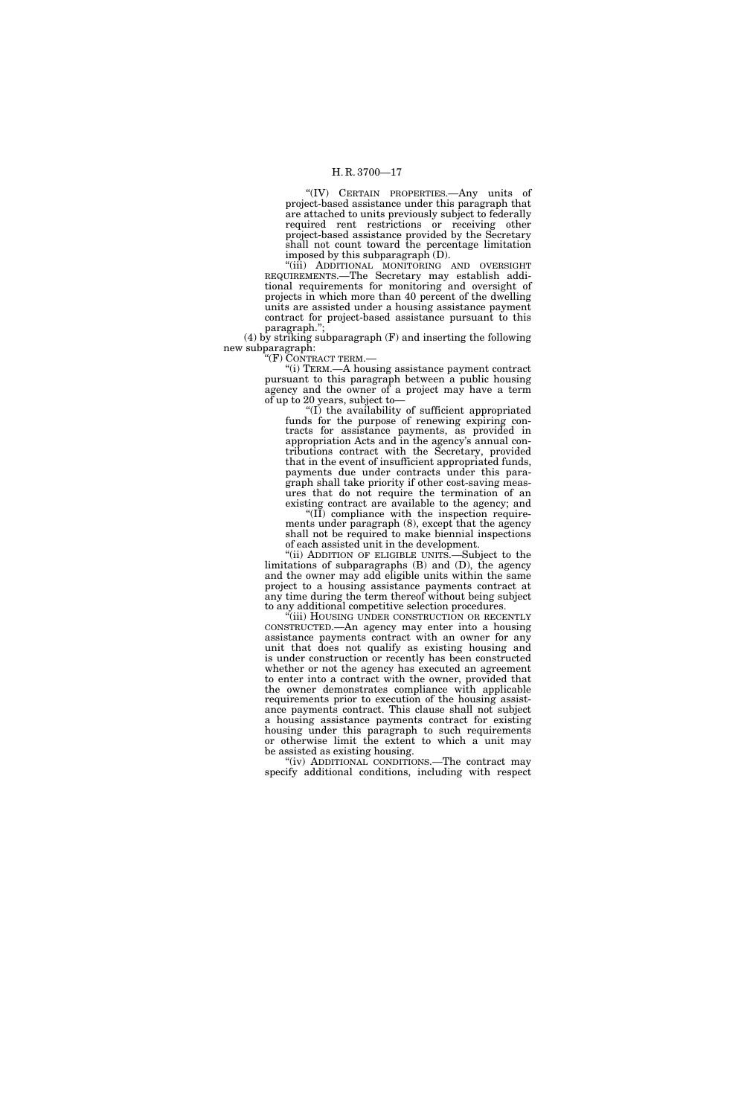''(IV) CERTAIN PROPERTIES.—Any units of project-based assistance under this paragraph that are attached to units previously subject to federally required rent restrictions or receiving other project-based assistance provided by the Secretary shall not count toward the percentage limitation imposed by this subparagraph (D).

''(iii) ADDITIONAL MONITORING AND OVERSIGHT REQUIREMENTS.—The Secretary may establish additional requirements for monitoring and oversight of projects in which more than 40 percent of the dwelling units are assisted under a housing assistance payment contract for project-based assistance pursuant to this paragraph.'

(4) by striking subparagraph (F) and inserting the following new subparagraph:

''(F) CONTRACT TERM.—

''(i) TERM.—A housing assistance payment contract pursuant to this paragraph between a public housing agency and the owner of a project may have a term of up to 20 years, subject to—

''(I) the availability of sufficient appropriated funds for the purpose of renewing expiring contracts for assistance payments, as provided in appropriation Acts and in the agency's annual contributions contract with the Secretary, provided that in the event of insufficient appropriated funds, payments due under contracts under this paragraph shall take priority if other cost-saving measures that do not require the termination of an existing contract are available to the agency; and

''(II) compliance with the inspection requirements under paragraph (8), except that the agency shall not be required to make biennial inspections of each assisted unit in the development.

''(ii) ADDITION OF ELIGIBLE UNITS.—Subject to the limitations of subparagraphs (B) and (D), the agency and the owner may add eligible units within the same project to a housing assistance payments contract at any time during the term thereof without being subject to any additional competitive selection procedures.

''(iii) HOUSING UNDER CONSTRUCTION OR RECENTLY CONSTRUCTED.—An agency may enter into a housing assistance payments contract with an owner for any unit that does not qualify as existing housing and is under construction or recently has been constructed whether or not the agency has executed an agreement to enter into a contract with the owner, provided that the owner demonstrates compliance with applicable requirements prior to execution of the housing assistance payments contract. This clause shall not subject a housing assistance payments contract for existing housing under this paragraph to such requirements or otherwise limit the extent to which a unit may be assisted as existing housing.

"(iv) ADDITIONAL CONDITIONS.—The contract may specify additional conditions, including with respect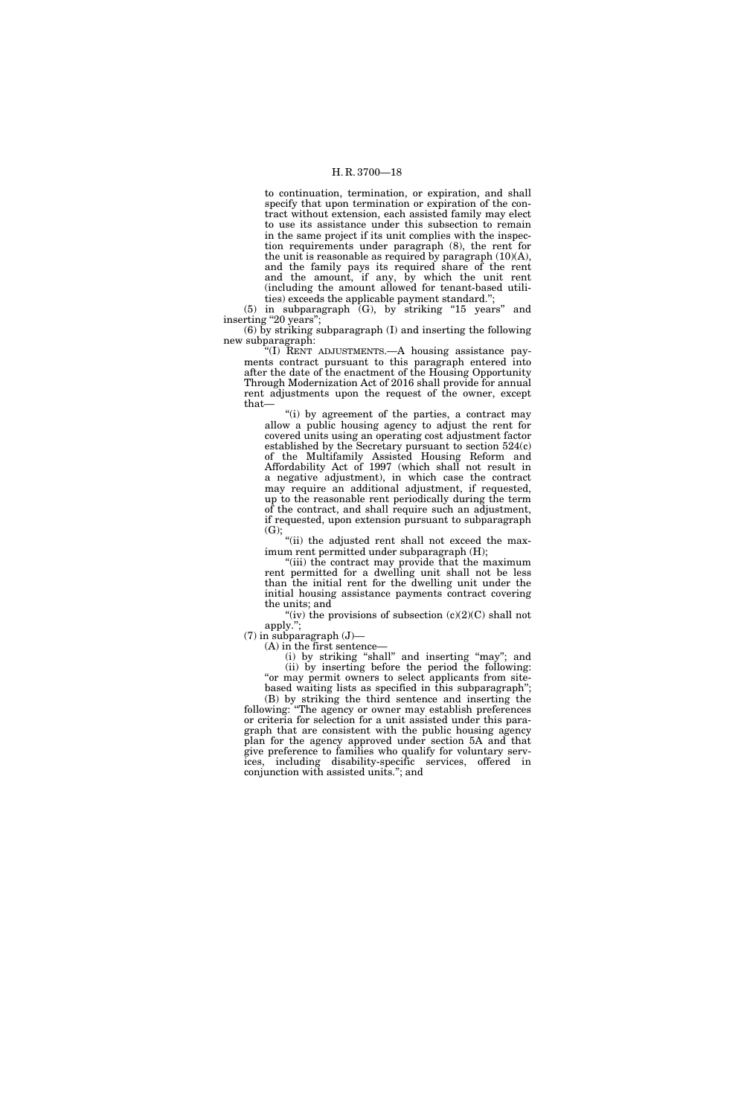to continuation, termination, or expiration, and shall specify that upon termination or expiration of the contract without extension, each assisted family may elect to use its assistance under this subsection to remain in the same project if its unit complies with the inspection requirements under paragraph (8), the rent for the unit is reasonable as required by paragraph (10)(A), and the family pays its required share of the rent and the amount, if any, by which the unit rent (including the amount allowed for tenant-based utilities) exceeds the applicable payment standard.'';

(5) in subparagraph (G), by striking ''15 years'' and inserting "20 years";

(6) by striking subparagraph (I) and inserting the following new subparagraph:

''(I) RENT ADJUSTMENTS.—A housing assistance payments contract pursuant to this paragraph entered into after the date of the enactment of the Housing Opportunity Through Modernization Act of 2016 shall provide for annual rent adjustments upon the request of the owner, except that—

"(i) by agreement of the parties, a contract may allow a public housing agency to adjust the rent for covered units using an operating cost adjustment factor established by the Secretary pursuant to section 524(c) of the Multifamily Assisted Housing Reform and Affordability Act of 1997 (which shall not result in a negative adjustment), in which case the contract may require an additional adjustment, if requested, up to the reasonable rent periodically during the term of the contract, and shall require such an adjustment, if requested, upon extension pursuant to subparagraph (G);

"(ii) the adjusted rent shall not exceed the maximum rent permitted under subparagraph (H);

''(iii) the contract may provide that the maximum rent permitted for a dwelling unit shall not be less than the initial rent for the dwelling unit under the initial housing assistance payments contract covering the units; and

"(iv) the provisions of subsection  $(c)(2)(C)$  shall not apply.'';

 $(7)$  in subparagraph  $(J)$ —

(A) in the first sentence—

(i) by striking ''shall'' and inserting ''may''; and (ii) by inserting before the period the following: "or may permit owners to select applicants from sitebased waiting lists as specified in this subparagraph'';

(B) by striking the third sentence and inserting the following: ''The agency or owner may establish preferences or criteria for selection for a unit assisted under this paragraph that are consistent with the public housing agency plan for the agency approved under section 5A and that give preference to families who qualify for voluntary services, including disability-specific services, offered in conjunction with assisted units.''; and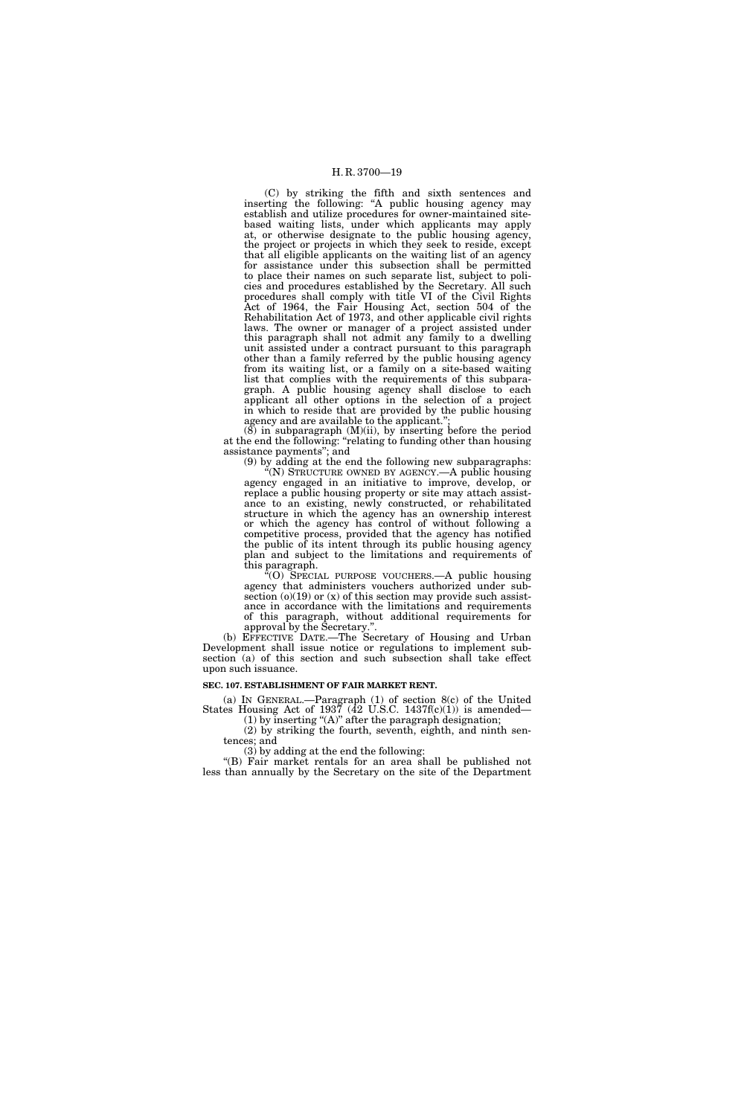(C) by striking the fifth and sixth sentences and inserting the following: ''A public housing agency may establish and utilize procedures for owner-maintained sitebased waiting lists, under which applicants may apply at, or otherwise designate to the public housing agency, the project or projects in which they seek to reside, except that all eligible applicants on the waiting list of an agency for assistance under this subsection shall be permitted to place their names on such separate list, subject to policies and procedures established by the Secretary. All such procedures shall comply with title VI of the Civil Rights Act of 1964, the Fair Housing Act, section 504 of the Rehabilitation Act of 1973, and other applicable civil rights laws. The owner or manager of a project assisted under this paragraph shall not admit any family to a dwelling unit assisted under a contract pursuant to this paragraph other than a family referred by the public housing agency from its waiting list, or a family on a site-based waiting list that complies with the requirements of this subparagraph. A public housing agency shall disclose to each applicant all other options in the selection of a project in which to reside that are provided by the public housing agency and are available to the applicant."

 $(8)$  in subparagraph  $(M)(ii)$ , by inserting before the period at the end the following: ''relating to funding other than housing assistance payments''; and

(9) by adding at the end the following new subparagraphs:  $\widetilde{f}(N)$  STRUCTURE OWNED BY AGENCY.—A public housing agency engaged in an initiative to improve, develop, or replace a public housing property or site may attach assistance to an existing, newly constructed, or rehabilitated structure in which the agency has an ownership interest or which the agency has control of without following a competitive process, provided that the agency has notified the public of its intent through its public housing agency plan and subject to the limitations and requirements of this paragraph.

''(O) SPECIAL PURPOSE VOUCHERS.—A public housing agency that administers vouchers authorized under subsection  $(0)(19)$  or  $(x)$  of this section may provide such assistance in accordance with the limitations and requirements of this paragraph, without additional requirements for approval by the Secretary.''.

(b) EFFECTIVE DATE.—The Secretary of Housing and Urban Development shall issue notice or regulations to implement subsection (a) of this section and such subsection shall take effect upon such issuance.

#### **SEC. 107. ESTABLISHMENT OF FAIR MARKET RENT.**

(a) IN GENERAL.—Paragraph (1) of section 8(c) of the United States Housing Act of 1937 (42 U.S.C. 1437 $f(c)(1)$ ) is amended—

(1) by inserting " $(A)$ " after the paragraph designation; (2) by striking the fourth, seventh, eighth, and ninth sen-

tences; and

(3) by adding at the end the following:

"(B) Fair market rentals for an area shall be published not less than annually by the Secretary on the site of the Department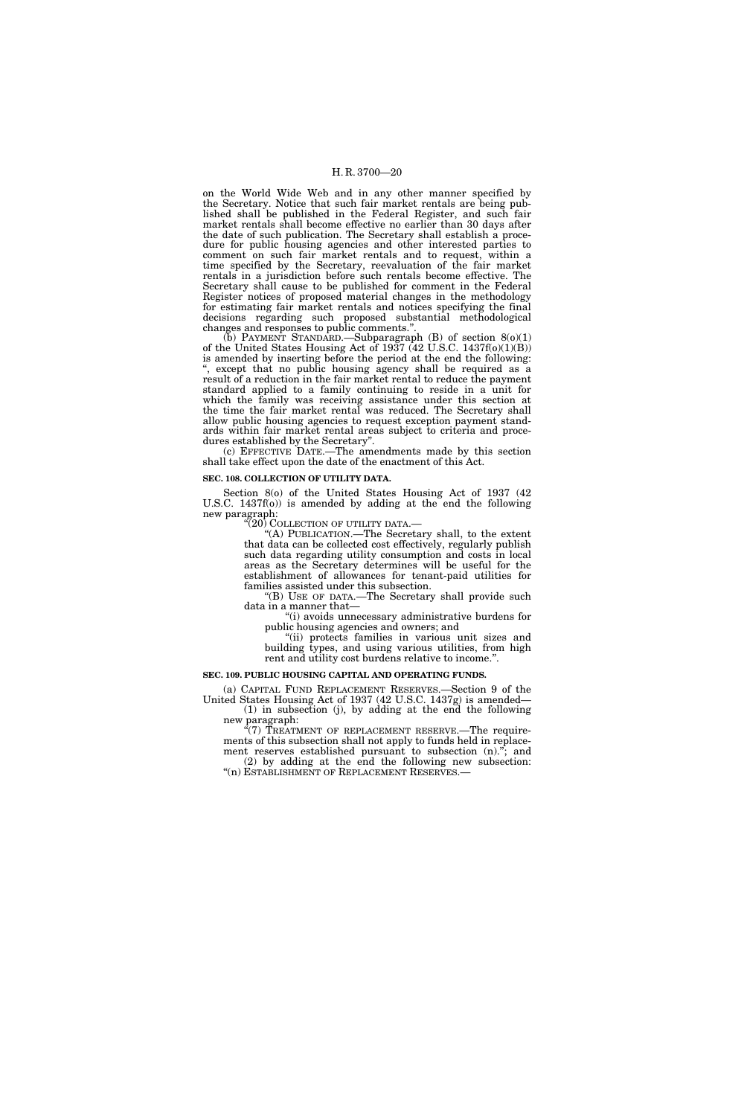on the World Wide Web and in any other manner specified by the Secretary. Notice that such fair market rentals are being published shall be published in the Federal Register, and such fair market rentals shall become effective no earlier than 30 days after the date of such publication. The Secretary shall establish a procedure for public housing agencies and other interested parties to comment on such fair market rentals and to request, within a time specified by the Secretary, reevaluation of the fair market rentals in a jurisdiction before such rentals become effective. The Secretary shall cause to be published for comment in the Federal Register notices of proposed material changes in the methodology for estimating fair market rentals and notices specifying the final decisions regarding such proposed substantial methodological changes and responses to public comments.''.

(b) PAYMENT STANDARD.—Subparagraph  $(B)$  of section  $8(0)(1)$ of the United States Housing Act of 1937 (42 U.S.C. 1437f(o)(1)(B)) is amended by inserting before the period at the end the following: '', except that no public housing agency shall be required as a result of a reduction in the fair market rental to reduce the payment standard applied to a family continuing to reside in a unit for which the family was receiving assistance under this section at the time the fair market rental was reduced. The Secretary shall allow public housing agencies to request exception payment standards within fair market rental areas subject to criteria and procedures established by the Secretary''.

(c) EFFECTIVE DATE.—The amendments made by this section shall take effect upon the date of the enactment of this Act.

#### **SEC. 108. COLLECTION OF UTILITY DATA.**

Section 8(o) of the United States Housing Act of 1937 (42 U.S.C.  $1437f(0)$  is amended by adding at the end the following new paragraph:

"(20) COLLECTION OF UTILITY DATA.—

"(A) PUBLICATION.—The Secretary shall, to the extent that data can be collected cost effectively, regularly publish such data regarding utility consumption and costs in local areas as the Secretary determines will be useful for the establishment of allowances for tenant-paid utilities for families assisted under this subsection.

''(B) USE OF DATA.—The Secretary shall provide such data in a manner that—

''(i) avoids unnecessary administrative burdens for public housing agencies and owners; and

 $(iii)$  protects families in various unit sizes and building types, and using various utilities, from high rent and utility cost burdens relative to income.''.

#### **SEC. 109. PUBLIC HOUSING CAPITAL AND OPERATING FUNDS.**

(a) CAPITAL FUND REPLACEMENT RESERVES.—Section 9 of the United States Housing Act of 1937 (42 U.S.C. 1437g) is amended— (1) in subsection (j), by adding at the end the following

new paragraph:  $C(7)$  TREATMENT OF REPLACEMENT RESERVE.—The requirements of this subsection shall not apply to funds held in replacement reserves established pursuant to subsection (n)."; and (2) by adding at the end the following new subsection: "(n) ESTABLISHMENT OF REPLACEMENT RESERVES.-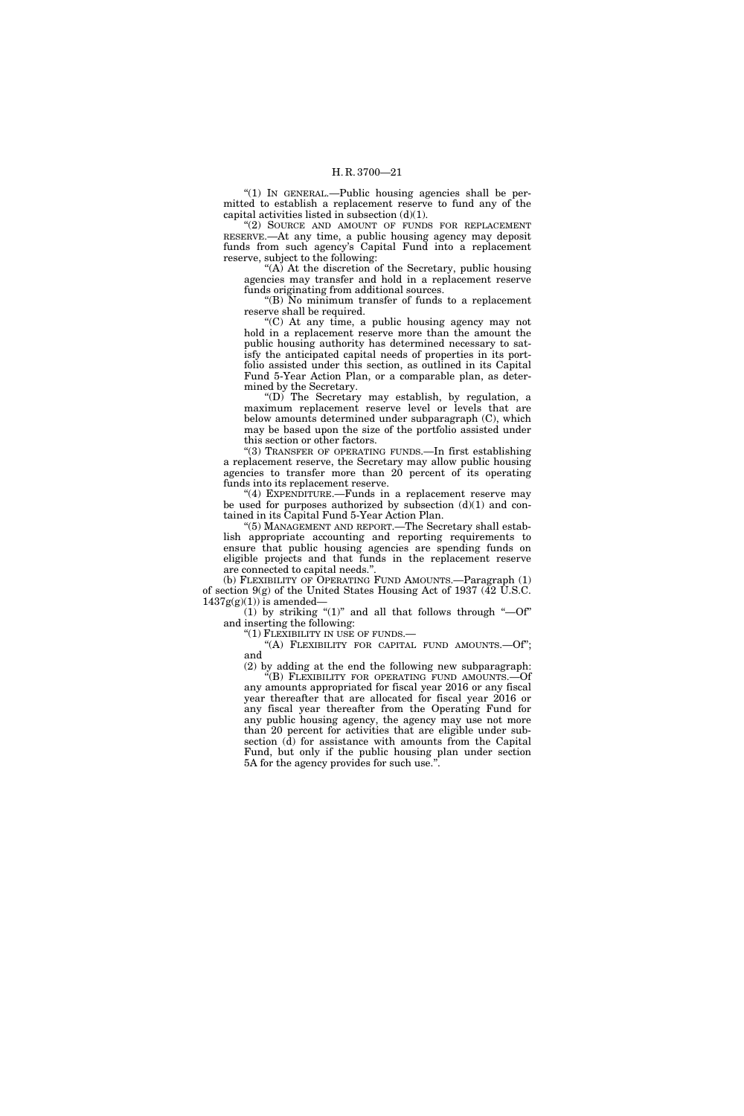"(1) IN GENERAL.—Public housing agencies shall be permitted to establish a replacement reserve to fund any of the capital activities listed in subsection  $(d)(1)$ .

''(2) SOURCE AND AMOUNT OF FUNDS FOR REPLACEMENT RESERVE.—At any time, a public housing agency may deposit funds from such agency's Capital Fund into a replacement reserve, subject to the following:

"(A) At the discretion of the Secretary, public housing agencies may transfer and hold in a replacement reserve funds originating from additional sources.

" $(B)$  No minimum transfer of funds to a replacement reserve shall be required.

''(C) At any time, a public housing agency may not hold in a replacement reserve more than the amount the public housing authority has determined necessary to satisfy the anticipated capital needs of properties in its portfolio assisted under this section, as outlined in its Capital Fund 5-Year Action Plan, or a comparable plan, as determined by the Secretary.

''(D) The Secretary may establish, by regulation, a maximum replacement reserve level or levels that are below amounts determined under subparagraph (C), which may be based upon the size of the portfolio assisted under this section or other factors.

''(3) TRANSFER OF OPERATING FUNDS.—In first establishing a replacement reserve, the Secretary may allow public housing agencies to transfer more than 20 percent of its operating funds into its replacement reserve.

"(4) EXPENDITURE.—Funds in a replacement reserve may be used for purposes authorized by subsection  $(d)(1)$  and contained in its Capital Fund 5-Year Action Plan.

(5) MANAGEMENT AND REPORT.—The Secretary shall establish appropriate accounting and reporting requirements to ensure that public housing agencies are spending funds on eligible projects and that funds in the replacement reserve are connected to capital needs."

(b) FLEXIBILITY OF OPERATING FUND AMOUNTS.—Paragraph (1) of section 9(g) of the United States Housing Act of 1937 (42 U.S.C.  $1437g(g)(1)$ ) is amended—

 $(1)$  by striking " $(1)$ " and all that follows through " $-0f$ " and inserting the following:

"(1) FLEXIBILITY IN USE OF FUNDS.-

"(A) FLEXIBILITY FOR CAPITAL FUND AMOUNTS. - Of"; and

(2) by adding at the end the following new subparagraph: ''(B) FLEXIBILITY FOR OPERATING FUND AMOUNTS.—Of any amounts appropriated for fiscal year 2016 or any fiscal year thereafter that are allocated for fiscal year 2016 or any fiscal year thereafter from the Operating Fund for any public housing agency, the agency may use not more than 20 percent for activities that are eligible under subsection (d) for assistance with amounts from the Capital Fund, but only if the public housing plan under section 5A for the agency provides for such use.''.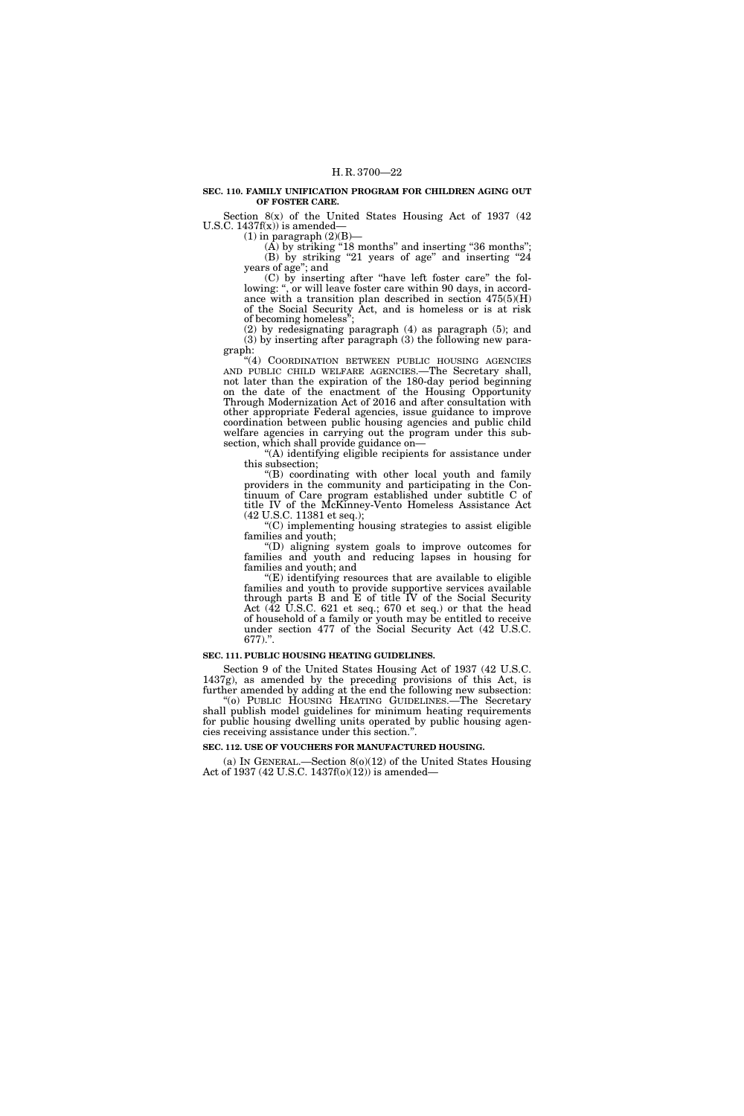#### **SEC. 110. FAMILY UNIFICATION PROGRAM FOR CHILDREN AGING OUT OF FOSTER CARE.**

Section  $8(x)$  of the United States Housing Act of 1937 (42) U.S.C.  $1437f(x)$  is amended-

(1) in paragraph  $(2)(B)$ —

(A) by striking "18 months" and inserting "36 months"; (B) by striking "21 years of age" and inserting "24 years of age''; and

(C) by inserting after ''have left foster care'' the following: ", or will leave foster care within 90 days, in accordance with a transition plan described in section 475(5)(H) of the Social Security Act, and is homeless or is at risk of becoming homeless'';

(2) by redesignating paragraph (4) as paragraph (5); and (3) by inserting after paragraph (3) the following new paragraph:

"(4) COORDINATION BETWEEN PUBLIC HOUSING AGENCIES AND PUBLIC CHILD WELFARE AGENCIES.—The Secretary shall, not later than the expiration of the 180-day period beginning on the date of the enactment of the Housing Opportunity Through Modernization Act of 2016 and after consultation with other appropriate Federal agencies, issue guidance to improve coordination between public housing agencies and public child welfare agencies in carrying out the program under this subsection, which shall provide guidance on—

''(A) identifying eligible recipients for assistance under this subsection;

''(B) coordinating with other local youth and family providers in the community and participating in the Continuum of Care program established under subtitle C of title IV of the McKinney-Vento Homeless Assistance Act (42 U.S.C. 11381 et seq.);

''(C) implementing housing strategies to assist eligible families and youth;

''(D) aligning system goals to improve outcomes for families and youth and reducing lapses in housing for families and youth; and

''(E) identifying resources that are available to eligible families and youth to provide supportive services available through parts B and E of title IV of the Social Security Act (42 U.S.C. 621 et seq.; 670 et seq.) or that the head of household of a family or youth may be entitled to receive under section 477 of the Social Security Act (42 U.S.C.  $677$ ).".

#### **SEC. 111. PUBLIC HOUSING HEATING GUIDELINES.**

Section 9 of the United States Housing Act of 1937 (42 U.S.C. 1437g), as amended by the preceding provisions of this Act, is further amended by adding at the end the following new subsection: ''(o) PUBLIC HOUSING HEATING GUIDELINES.—The Secretary

shall publish model guidelines for minimum heating requirements for public housing dwelling units operated by public housing agencies receiving assistance under this section.''.

#### **SEC. 112. USE OF VOUCHERS FOR MANUFACTURED HOUSING.**

(a) IN GENERAL.—Section 8(o)(12) of the United States Housing Act of 1937 (42 U.S.C. 1437f(o)(12)) is amended—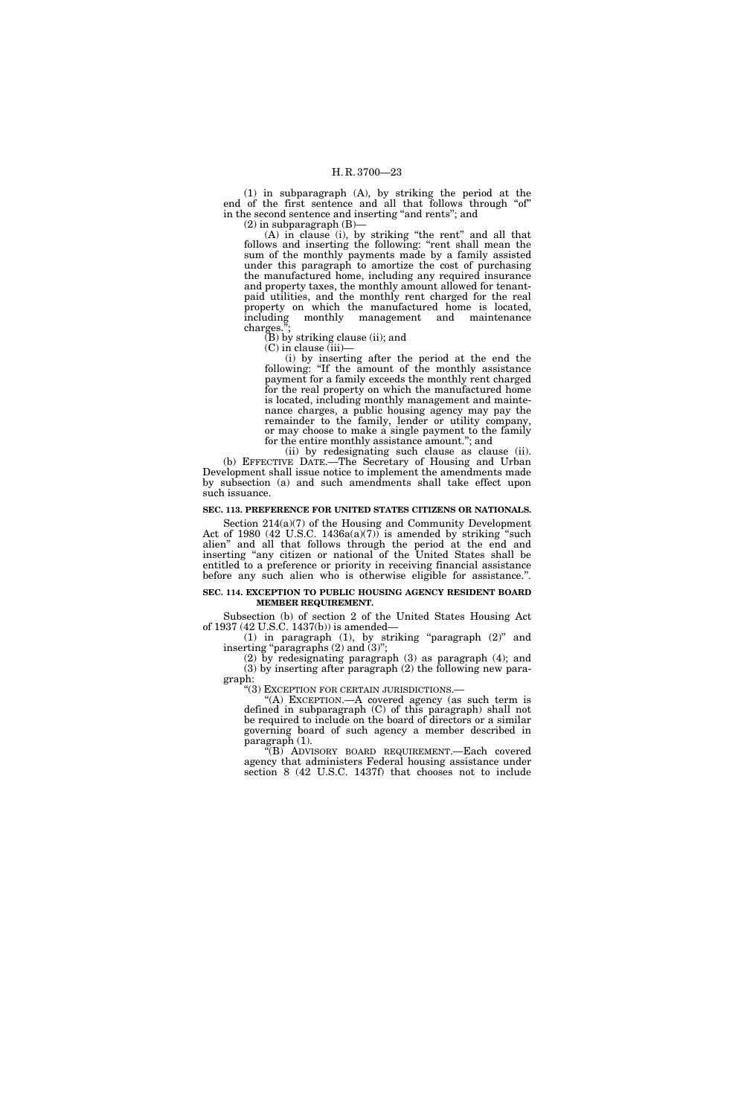(1) in subparagraph (A), by striking the period at the end of the first sentence and all that follows through "of" in the second sentence and inserting "and rents"; and

 $(2)$  in subparagraph  $(B)$ –

(A) in clause (i), by striking "the rent" and all that follows and inserting the following: "rent shall mean the sum of the monthly payments made by a family assisted under this paragraph to amortize the cost of purchasing the manufactured home, including any required insurance and property taxes, the monthly amount allowed for tenantpaid utilities, and the monthly rent charged for the real property on which the manufactured home is located, including monthly management and maintenance monthly management and maintenance charges.

(B) by striking clause (ii); and

(C) in clause (iii)—

(i) by inserting after the period at the end the following: ''If the amount of the monthly assistance payment for a family exceeds the monthly rent charged for the real property on which the manufactured home is located, including monthly management and maintenance charges, a public housing agency may pay the remainder to the family, lender or utility company, or may choose to make a single payment to the family for the entire monthly assistance amount.''; and

(ii) by redesignating such clause as clause (ii). (b) EFFECTIVE DATE.—The Secretary of Housing and Urban Development shall issue notice to implement the amendments made by subsection (a) and such amendments shall take effect upon such issuance.

### **SEC. 113. PREFERENCE FOR UNITED STATES CITIZENS OR NATIONALS.**

Section 214(a)(7) of the Housing and Community Development Act of 1980 (42 U.S.C. 1436a(a)(7)) is amended by striking "such alien'' and all that follows through the period at the end and inserting "any citizen or national of the United States shall be entitled to a preference or priority in receiving financial assistance before any such alien who is otherwise eligible for assistance.''.

#### **SEC. 114. EXCEPTION TO PUBLIC HOUSING AGENCY RESIDENT BOARD MEMBER REQUIREMENT.**

Subsection (b) of section 2 of the United States Housing Act of 1937 (42 U.S.C. 1437(b)) is amended—

(1) in paragraph (1), by striking ''paragraph (2)'' and inserting "paragraphs  $(2)$  and  $(3)$ ";

(2) by redesignating paragraph (3) as paragraph (4); and (3) by inserting after paragraph (2) the following new para-

graph:<br>"(3) Exception for certain jurisdictions.—

"(A) EXCEPTION.—A covered agency (as such term is defined in subparagraph (C) of this paragraph) shall not be required to include on the board of directors or a similar governing board of such agency a member described in paragraph  $(1)$ .

''(B) ADVISORY BOARD REQUIREMENT.—Each covered agency that administers Federal housing assistance under section 8 (42 U.S.C. 1437f) that chooses not to include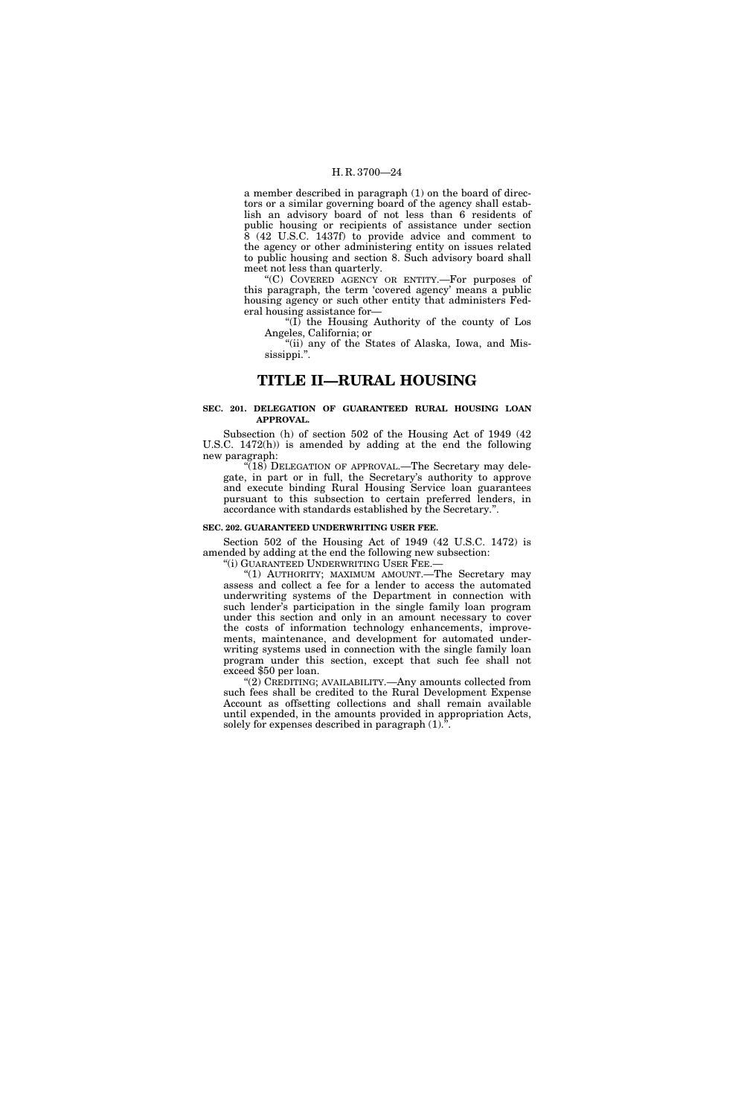a member described in paragraph (1) on the board of directors or a similar governing board of the agency shall establish an advisory board of not less than 6 residents of public housing or recipients of assistance under section  $\dot{8}$  (42 U.S.C. 1437f) to provide advice and comment to the agency or other administering entity on issues related to public housing and section 8. Such advisory board shall meet not less than quarterly.

''(C) COVERED AGENCY OR ENTITY.—For purposes of this paragraph, the term 'covered agency' means a public housing agency or such other entity that administers Federal housing assistance for—

" $(I)$  the Housing Authority of the county of Los Angeles, California; or

"(ii) any of the States of Alaska, Iowa, and Mississippi.''.

# **TITLE II—RURAL HOUSING**

#### **SEC. 201. DELEGATION OF GUARANTEED RURAL HOUSING LOAN APPROVAL.**

Subsection (h) of section 502 of the Housing Act of 1949 (42 U.S.C. 1472(h)) is amended by adding at the end the following new paragraph:

 $\sqrt{18}$ ) DELEGATION OF APPROVAL.—The Secretary may delegate, in part or in full, the Secretary's authority to approve and execute binding Rural Housing Service loan guarantees pursuant to this subsection to certain preferred lenders, in accordance with standards established by the Secretary.''.

#### **SEC. 202. GUARANTEED UNDERWRITING USER FEE.**

Section 502 of the Housing Act of 1949 (42 U.S.C. 1472) is amended by adding at the end the following new subsection:

"(i) GUARANTEED UNDERWRITING USER FEE.-

"(1) AUTHORITY; MAXIMUM AMOUNT. The Secretary may assess and collect a fee for a lender to access the automated underwriting systems of the Department in connection with such lender's participation in the single family loan program under this section and only in an amount necessary to cover the costs of information technology enhancements, improvements, maintenance, and development for automated underwriting systems used in connection with the single family loan program under this section, except that such fee shall not exceed \$50 per loan.

''(2) CREDITING; AVAILABILITY.—Any amounts collected from such fees shall be credited to the Rural Development Expense Account as offsetting collections and shall remain available until expended, in the amounts provided in appropriation Acts, solely for expenses described in paragraph (1).''.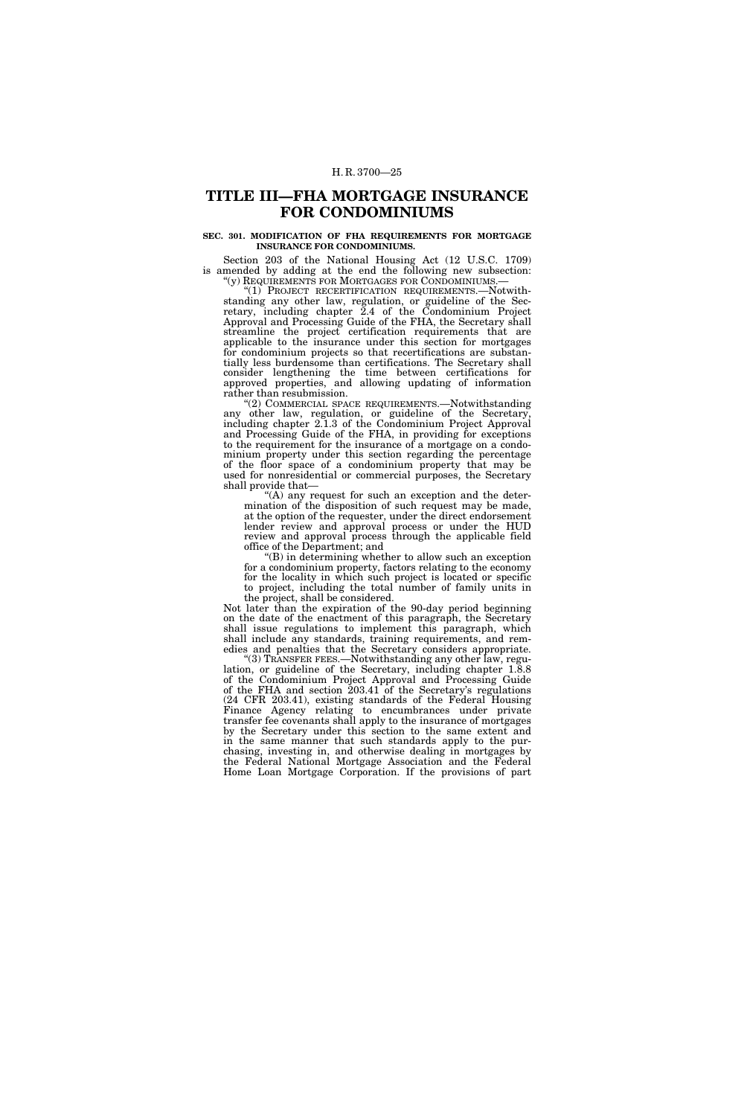# **TITLE III—FHA MORTGAGE INSURANCE FOR CONDOMINIUMS**

#### **SEC. 301. MODIFICATION OF FHA REQUIREMENTS FOR MORTGAGE INSURANCE FOR CONDOMINIUMS.**

Section 203 of the National Housing Act (12 U.S.C. 1709) is amended by adding at the end the following new subsection: " $(y)$  REQUIREMENTS FOR MORTGAGES FOR CONDOMINIUMS.—

"(1) PROJECT RECERTIFICATION REQUIREMENTS.—Notwithstanding any other law, regulation, or guideline of the Secretary, including chapter 2.4 of the Condominium Project Approval and Processing Guide of the FHA, the Secretary shall streamline the project certification requirements that are applicable to the insurance under this section for mortgages for condominium projects so that recertifications are substantially less burdensome than certifications. The Secretary shall consider lengthening the time between certifications for approved properties, and allowing updating of information rather than resubmission.

''(2) COMMERCIAL SPACE REQUIREMENTS.—Notwithstanding any other law, regulation, or guideline of the Secretary, including chapter 2.1.3 of the Condominium Project Approval and Processing Guide of the FHA, in providing for exceptions to the requirement for the insurance of a mortgage on a condominium property under this section regarding the percentage of the floor space of a condominium property that may be used for nonresidential or commercial purposes, the Secretary shall provide that—

"(A) any request for such an exception and the determination of the disposition of such request may be made, at the option of the requester, under the direct endorsement lender review and approval process or under the HUD review and approval process through the applicable field office of the Department; and

''(B) in determining whether to allow such an exception for a condominium property, factors relating to the economy for the locality in which such project is located or specific to project, including the total number of family units in the project, shall be considered.

Not later than the expiration of the 90-day period beginning on the date of the enactment of this paragraph, the Secretary shall issue regulations to implement this paragraph, which shall include any standards, training requirements, and remedies and penalties that the Secretary considers appropriate.

''(3) TRANSFER FEES.—Notwithstanding any other law, regulation, or guideline of the Secretary, including chapter 1.8.8 of the Condominium Project Approval and Processing Guide of the FHA and section 203.41 of the Secretary's regulations (24 CFR 203.41), existing standards of the Federal Housing Finance Agency relating to encumbrances under private transfer fee covenants shall apply to the insurance of mortgages by the Secretary under this section to the same extent and in the same manner that such standards apply to the purchasing, investing in, and otherwise dealing in mortgages by the Federal National Mortgage Association and the Federal Home Loan Mortgage Corporation. If the provisions of part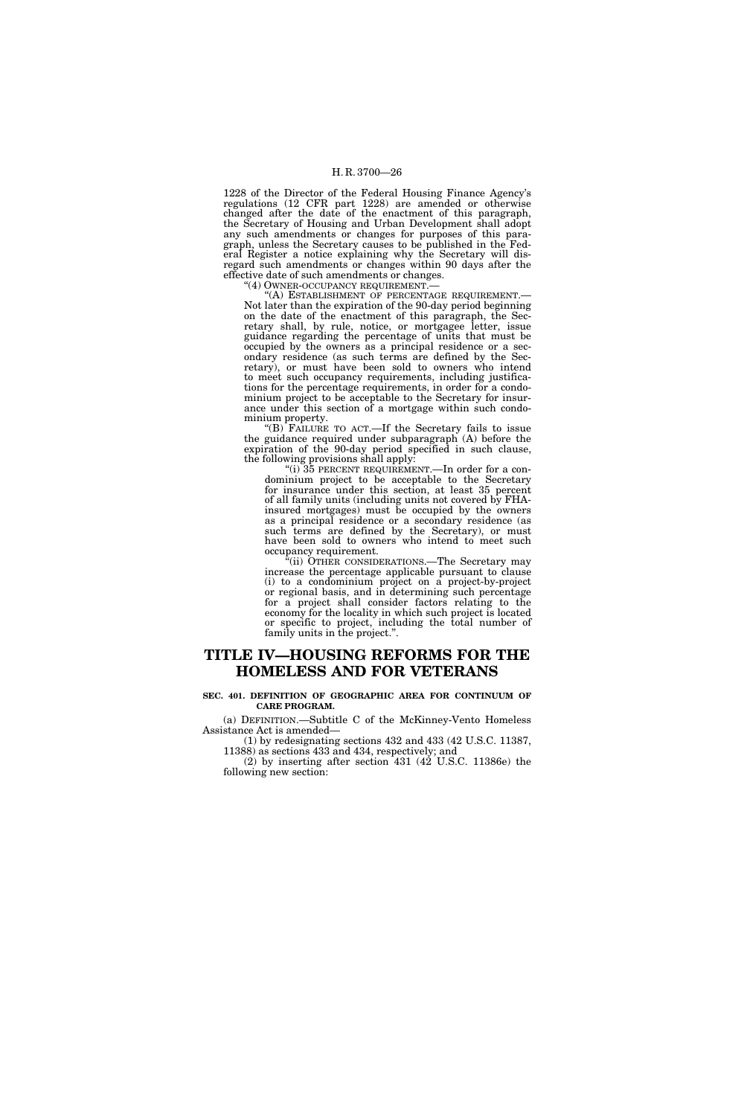1228 of the Director of the Federal Housing Finance Agency's regulations (12 CFR part 1228) are amended or otherwise changed after the date of the enactment of this paragraph, the Secretary of Housing and Urban Development shall adopt any such amendments or changes for purposes of this paragraph, unless the Secretary causes to be published in the Federal Register a notice explaining why the Secretary will disregard such amendments or changes within 90 days after the effective date of such amendments or changes.<br>"(4) OWNER-OCCUPANCY REQUIREMENT.—

''(4) OWNER-OCCUPANCY REQUIREMENT.— ''(A) ESTABLISHMENT OF PERCENTAGE REQUIREMENT.— Not later than the expiration of the 90-day period beginning on the date of the enactment of this paragraph, the Secretary shall, by rule, notice, or mortgagee letter, issue guidance regarding the percentage of units that must be occupied by the owners as a principal residence or a secondary residence (as such terms are defined by the Secretary), or must have been sold to owners who intend to meet such occupancy requirements, including justifications for the percentage requirements, in order for a condominium project to be acceptable to the Secretary for insurance under this section of a mortgage within such condominium property.

''(B) FAILURE TO ACT.—If the Secretary fails to issue the guidance required under subparagraph (A) before the expiration of the 90-day period specified in such clause, the following provisions shall apply:

"(i)  $35$  PERCENT REQUIREMENT.—In order for a condominium project to be acceptable to the Secretary for insurance under this section, at least 35 percent of all family units (including units not covered by FHAinsured mortgages) must be occupied by the owners as a principal residence or a secondary residence (as such terms are defined by the Secretary), or must have been sold to owners who intend to meet such occupancy requirement.

 $E$ <sup>t</sup>(ii) OTHER CONSIDERATIONS.—The Secretary may increase the percentage applicable pursuant to clause (i) to a condominium project on a project-by-project or regional basis, and in determining such percentage for a project shall consider factors relating to the economy for the locality in which such project is located or specific to project, including the total number of family units in the project.''.

# **TITLE IV—HOUSING REFORMS FOR THE HOMELESS AND FOR VETERANS**

#### **SEC. 401. DEFINITION OF GEOGRAPHIC AREA FOR CONTINUUM OF CARE PROGRAM.**

(a) DEFINITION.—Subtitle C of the McKinney-Vento Homeless Assistance Act is amended—

(1) by redesignating sections 432 and 433 (42 U.S.C. 11387, 11388) as sections 433 and 434, respectively; and

(2) by inserting after section  $431$  ( $42$  U.S.C. 11386e) the following new section: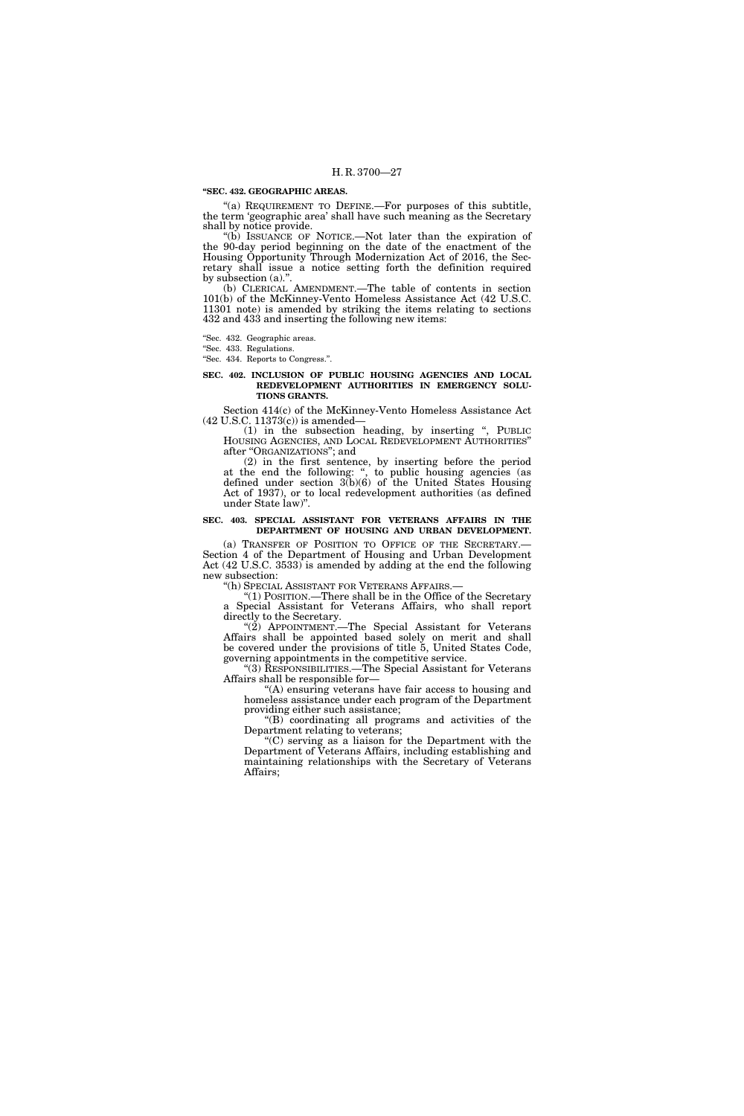#### **''SEC. 432. GEOGRAPHIC AREAS.**

"(a) REQUIREMENT TO DEFINE.—For purposes of this subtitle, the term 'geographic area' shall have such meaning as the Secretary shall by notice provide.

''(b) ISSUANCE OF NOTICE.—Not later than the expiration of the 90-day period beginning on the date of the enactment of the Housing Opportunity Through Modernization Act of 2016, the Secretary shall issue a notice setting forth the definition required by subsection (a).''.

(b) CLERICAL AMENDMENT.—The table of contents in section 101(b) of the McKinney-Vento Homeless Assistance Act (42 U.S.C. 11301 note) is amended by striking the items relating to sections 432 and 433 and inserting the following new items:

''Sec. 432. Geographic areas.

''Sec. 433. Regulations.

''Sec. 434. Reports to Congress.''.

#### **SEC. 402. INCLUSION OF PUBLIC HOUSING AGENCIES AND LOCAL REDEVELOPMENT AUTHORITIES IN EMERGENCY SOLU-TIONS GRANTS.**

Section 414(c) of the McKinney-Vento Homeless Assistance Act (42 U.S.C. 11373(c)) is amended—

(1) in the subsection heading, by inserting '', PUBLIC HOUSING AGENCIES, AND LOCAL REDEVELOPMENT AUTHORITIES'' after ''ORGANIZATIONS''; and

(2) in the first sentence, by inserting before the period at the end the following: ", to public housing agencies (as defined under section 3(b)(6) of the United States Housing Act of 1937), or to local redevelopment authorities (as defined under State law)''.

#### **SEC. 403. SPECIAL ASSISTANT FOR VETERANS AFFAIRS IN THE DEPARTMENT OF HOUSING AND URBAN DEVELOPMENT.**

(a) TRANSFER OF POSITION TO OFFICE OF THE SECRETARY.— Section 4 of the Department of Housing and Urban Development Act (42 U.S.C. 3533) is amended by adding at the end the following new subsection:

''(h) SPECIAL ASSISTANT FOR VETERANS AFFAIRS.—

''(1) POSITION.—There shall be in the Office of the Secretary a Special Assistant for Veterans Affairs, who shall report directly to the Secretary.

"(2) APPOINTMENT.—The Special Assistant for Veterans Affairs shall be appointed based solely on merit and shall be covered under the provisions of title 5, United States Code, governing appointments in the competitive service.

''(3) RESPONSIBILITIES.—The Special Assistant for Veterans Affairs shall be responsible for—

"(A) ensuring veterans have fair access to housing and homeless assistance under each program of the Department providing either such assistance;

"(B) coordinating all programs and activities of the Department relating to veterans;

''(C) serving as a liaison for the Department with the Department of Veterans Affairs, including establishing and maintaining relationships with the Secretary of Veterans Affairs;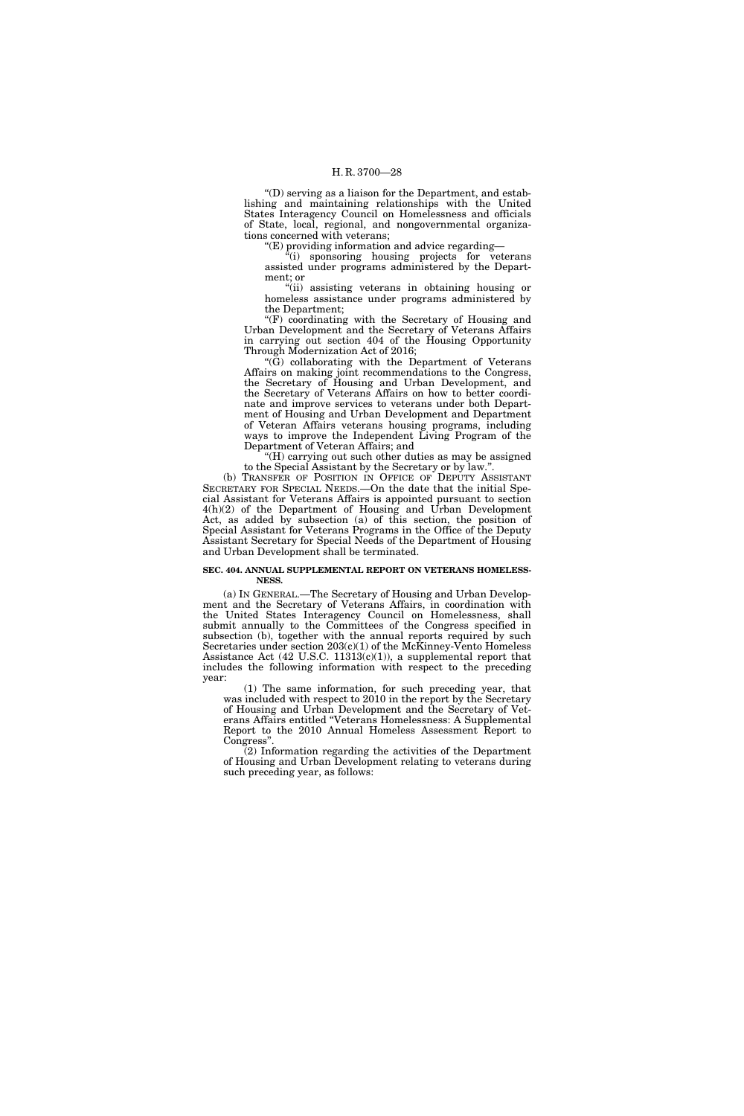''(D) serving as a liaison for the Department, and establishing and maintaining relationships with the United States Interagency Council on Homelessness and officials of State, local, regional, and nongovernmental organizations concerned with veterans;

''(E) providing information and advice regarding—

''(i) sponsoring housing projects for veterans assisted under programs administered by the Department; or

''(ii) assisting veterans in obtaining housing or homeless assistance under programs administered by the Department;

" $(F)$  coordinating with the Secretary of Housing and Urban Development and the Secretary of Veterans Affairs in carrying out section 404 of the Housing Opportunity Through Modernization Act of 2016;

''(G) collaborating with the Department of Veterans Affairs on making joint recommendations to the Congress, the Secretary of Housing and Urban Development, and the Secretary of Veterans Affairs on how to better coordinate and improve services to veterans under both Department of Housing and Urban Development and Department of Veteran Affairs veterans housing programs, including ways to improve the Independent Living Program of the Department of Veteran Affairs; and

"(H) carrying out such other duties as may be assigned to the Special Assistant by the Secretary or by law.''.

(b) TRANSFER OF POSITION IN OFFICE OF DEPUTY ASSISTANT SECRETARY FOR SPECIAL NEEDS.—On the date that the initial Special Assistant for Veterans Affairs is appointed pursuant to section 4(h)(2) of the Department of Housing and Urban Development Act, as added by subsection (a) of this section, the position of Special Assistant for Veterans Programs in the Office of the Deputy Assistant Secretary for Special Needs of the Department of Housing and Urban Development shall be terminated.

#### **SEC. 404. ANNUAL SUPPLEMENTAL REPORT ON VETERANS HOMELESS-NESS.**

(a) IN GENERAL.—The Secretary of Housing and Urban Development and the Secretary of Veterans Affairs, in coordination with the United States Interagency Council on Homelessness, shall submit annually to the Committees of the Congress specified in subsection (b), together with the annual reports required by such Secretaries under section 203(c)(1) of the McKinney-Vento Homeless Assistance Act (42 U.S.C. 11313(c)(1)), a supplemental report that includes the following information with respect to the preceding year:

(1) The same information, for such preceding year, that was included with respect to 2010 in the report by the Secretary of Housing and Urban Development and the Secretary of Veterans Affairs entitled ''Veterans Homelessness: A Supplemental Report to the 2010 Annual Homeless Assessment Report to Congress''.

(2) Information regarding the activities of the Department of Housing and Urban Development relating to veterans during such preceding year, as follows: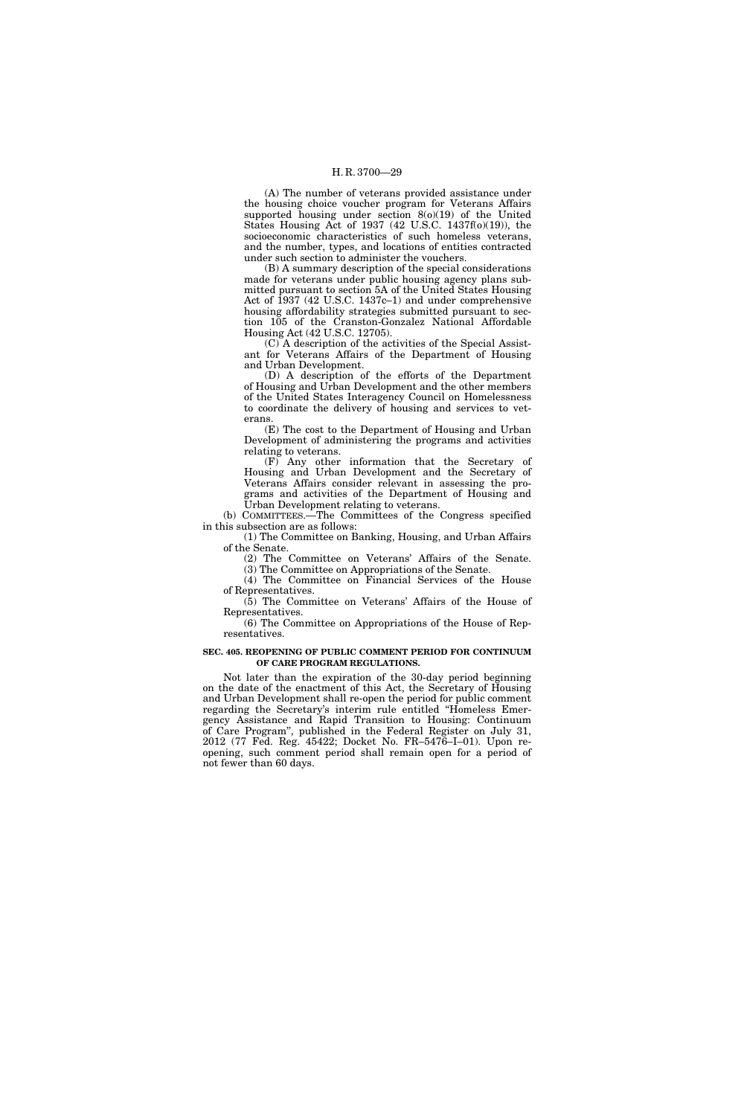(A) The number of veterans provided assistance under the housing choice voucher program for Veterans Affairs supported housing under section 8(o)(19) of the United States Housing Act of 1937 (42 U.S.C. 1437f(o)(19)), the socioeconomic characteristics of such homeless veterans, and the number, types, and locations of entities contracted under such section to administer the vouchers.

(B) A summary description of the special considerations made for veterans under public housing agency plans submitted pursuant to section 5A of the United States Housing Act of 1937 (42 U.S.C. 1437c–1) and under comprehensive housing affordability strategies submitted pursuant to section 105 of the Cranston-Gonzalez National Affordable Housing Act (42 U.S.C. 12705).

(C) A description of the activities of the Special Assistant for Veterans Affairs of the Department of Housing and Urban Development.

(D) A description of the efforts of the Department of Housing and Urban Development and the other members of the United States Interagency Council on Homelessness to coordinate the delivery of housing and services to veterans.

(E) The cost to the Department of Housing and Urban Development of administering the programs and activities relating to veterans.

(F) Any other information that the Secretary of Housing and Urban Development and the Secretary of Veterans Affairs consider relevant in assessing the programs and activities of the Department of Housing and Urban Development relating to veterans.

(b) COMMITTEES.—The Committees of the Congress specified in this subsection are as follows:

(1) The Committee on Banking, Housing, and Urban Affairs of the Senate.

(2) The Committee on Veterans' Affairs of the Senate.

(3) The Committee on Appropriations of the Senate. (4) The Committee on Financial Services of the House

of Representatives. (5) The Committee on Veterans' Affairs of the House of

Representatives. (6) The Committee on Appropriations of the House of Rep-

resentatives.

#### **SEC. 405. REOPENING OF PUBLIC COMMENT PERIOD FOR CONTINUUM OF CARE PROGRAM REGULATIONS.**

Not later than the expiration of the 30-day period beginning on the date of the enactment of this Act, the Secretary of Housing and Urban Development shall re-open the period for public comment regarding the Secretary's interim rule entitled ''Homeless Emergency Assistance and Rapid Transition to Housing: Continuum of Care Program'', published in the Federal Register on July 31, 2012 (77 Fed. Reg. 45422; Docket No. FR–5476–I–01). Upon reopening, such comment period shall remain open for a period of not fewer than 60 days.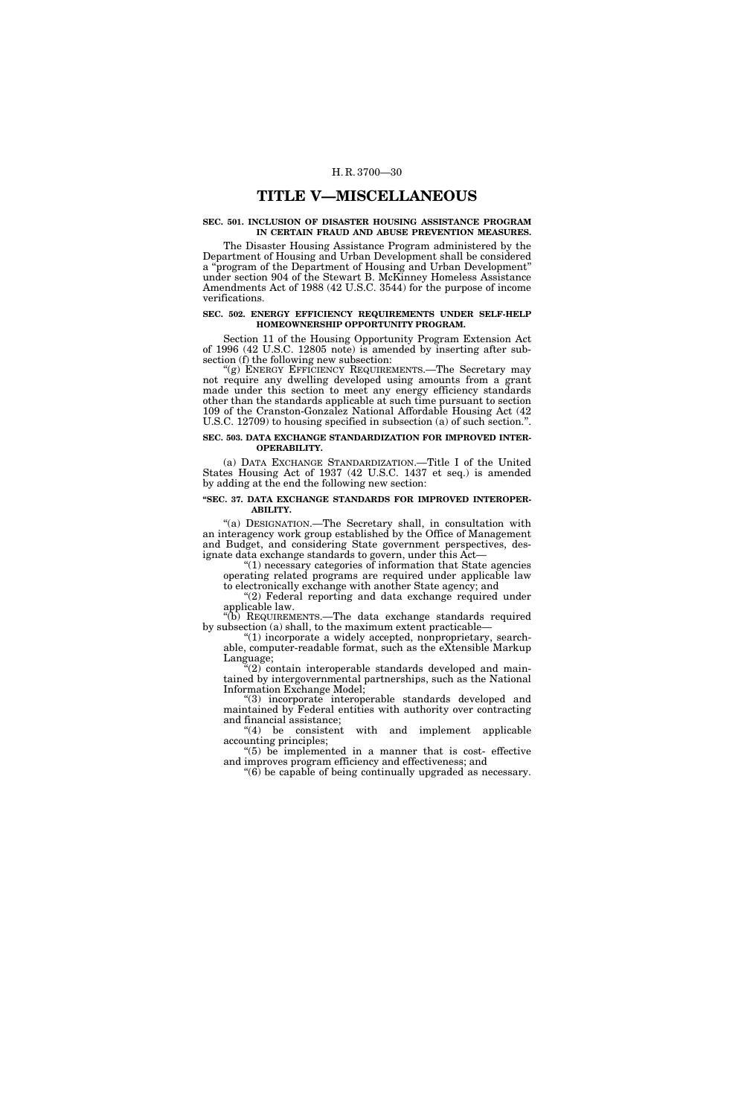### **TITLE V—MISCELLANEOUS**

#### **SEC. 501. INCLUSION OF DISASTER HOUSING ASSISTANCE PROGRAM IN CERTAIN FRAUD AND ABUSE PREVENTION MEASURES.**

The Disaster Housing Assistance Program administered by the Department of Housing and Urban Development shall be considered a ''program of the Department of Housing and Urban Development'' under section 904 of the Stewart B. McKinney Homeless Assistance Amendments Act of 1988 (42 U.S.C. 3544) for the purpose of income verifications.

#### **SEC. 502. ENERGY EFFICIENCY REQUIREMENTS UNDER SELF-HELP HOMEOWNERSHIP OPPORTUNITY PROGRAM.**

Section 11 of the Housing Opportunity Program Extension Act of 1996 (42 U.S.C. 12805 note) is amended by inserting after subsection (f) the following new subsection:

"(g) ENERGY EFFICIENCY REQUIREMENTS.-The Secretary may not require any dwelling developed using amounts from a grant made under this section to meet any energy efficiency standards other than the standards applicable at such time pursuant to section 109 of the Cranston-Gonzalez National Affordable Housing Act (42 U.S.C. 12709) to housing specified in subsection (a) of such section.''.

#### **SEC. 503. DATA EXCHANGE STANDARDIZATION FOR IMPROVED INTER-OPERABILITY.**

(a) DATA EXCHANGE STANDARDIZATION.—Title I of the United States Housing Act of 1937 (42 U.S.C. 1437 et seq.) is amended by adding at the end the following new section:

#### **''SEC. 37. DATA EXCHANGE STANDARDS FOR IMPROVED INTEROPER-ABILITY.**

''(a) DESIGNATION.—The Secretary shall, in consultation with an interagency work group established by the Office of Management and Budget, and considering State government perspectives, designate data exchange standards to govern, under this Act—

 $(1)$  necessary categories of information that State agencies operating related programs are required under applicable law to electronically exchange with another State agency; and

"(2) Federal reporting and data exchange required under applicable law.

''(b) REQUIREMENTS.—The data exchange standards required by subsection (a) shall, to the maximum extent practicable—

 $(1)$  incorporate a widely accepted, nonproprietary, searchable, computer-readable format, such as the eXtensible Markup Language;

''(2) contain interoperable standards developed and maintained by intergovernmental partnerships, such as the National Information Exchange Model;

(3) incorporate interoperable standards developed and maintained by Federal entities with authority over contracting and financial assistance;

''(4) be consistent with and implement applicable accounting principles;

''(5) be implemented in a manner that is cost- effective and improves program efficiency and effectiveness; and

''(6) be capable of being continually upgraded as necessary.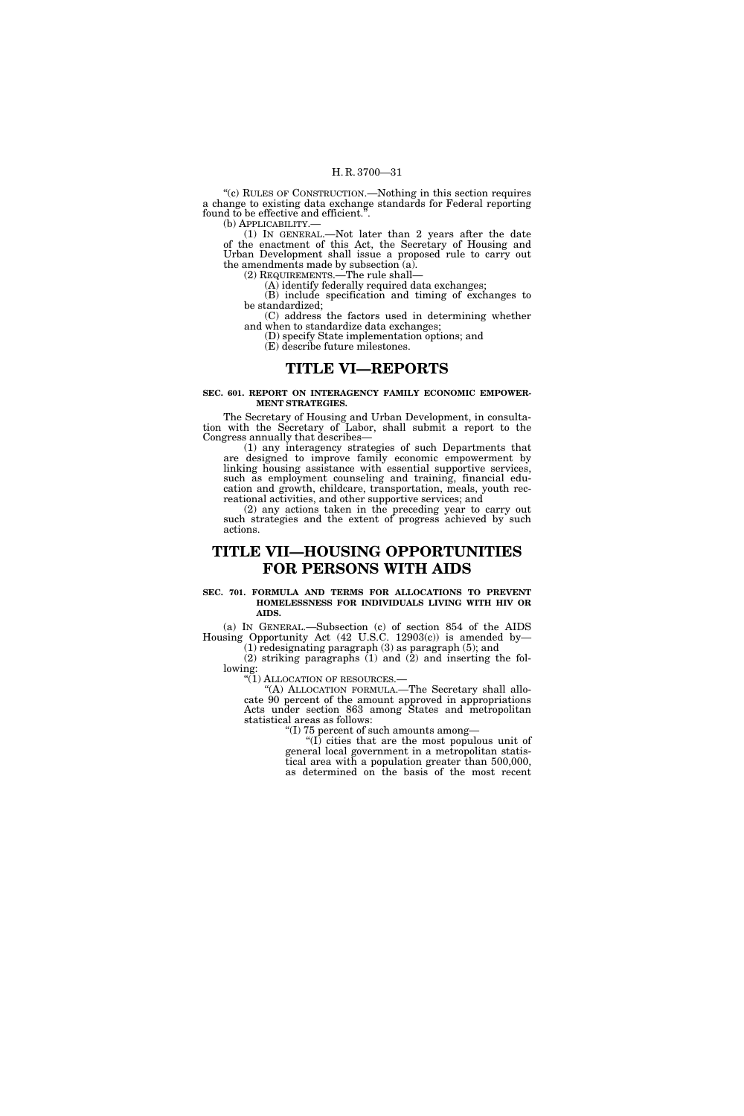''(c) RULES OF CONSTRUCTION.—Nothing in this section requires a change to existing data exchange standards for Federal reporting found to be effective and efficient.<sup> $\ddot{\cdot}$ </sup>.<br>(b) APPLICABILITY.—

(1) IN GENERAL.—Not later than 2 years after the date of the enactment of this Act, the Secretary of Housing and Urban Development shall issue a proposed rule to carry out the amendments made by subsection (a).

(2) REQUIREMENTS.—The rule shall—

(A) identify federally required data exchanges; (B) include specification and timing of exchanges to

be standardized; (C) address the factors used in determining whether and when to standardize data exchanges;

(D) specify State implementation options; and (E) describe future milestones.

### **TITLE VI—REPORTS**

**SEC. 601. REPORT ON INTERAGENCY FAMILY ECONOMIC EMPOWER-MENT STRATEGIES.** 

The Secretary of Housing and Urban Development, in consultation with the Secretary of Labor, shall submit a report to the Congress annually that describes—

(1) any interagency strategies of such Departments that are designed to improve family economic empowerment by linking housing assistance with essential supportive services, such as employment counseling and training, financial education and growth, childcare, transportation, meals, youth recreational activities, and other supportive services; and

(2) any actions taken in the preceding year to carry out such strategies and the extent of progress achieved by such actions.

# **TITLE VII—HOUSING OPPORTUNITIES FOR PERSONS WITH AIDS**

#### **SEC. 701. FORMULA AND TERMS FOR ALLOCATIONS TO PREVENT HOMELESSNESS FOR INDIVIDUALS LIVING WITH HIV OR AIDS.**

(a) IN GENERAL.—Subsection (c) of section 854 of the AIDS Housing Opportunity Act (42 U.S.C. 12903(c)) is amended by—

(1) redesignating paragraph (3) as paragraph (5); and  $(2)$  striking paragraphs  $(1)$  and  $(2)$  and inserting the following:

''(1) ALLOCATION OF RESOURCES.—

''(A) ALLOCATION FORMULA.—The Secretary shall allocate 90 percent of the amount approved in appropriations Acts under section 863 among States and metropolitan statistical areas as follows:

''(I) 75 percent of such amounts among—

''(I) cities that are the most populous unit of general local government in a metropolitan statistical area with a population greater than 500,000, as determined on the basis of the most recent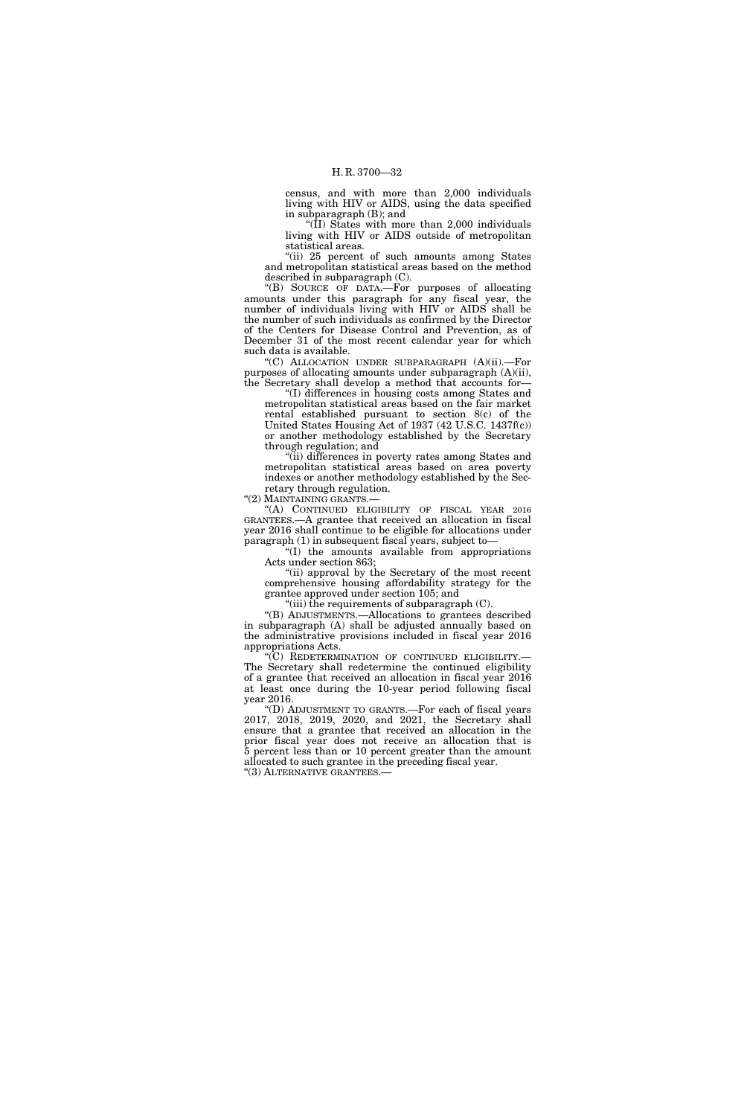census, and with more than 2,000 individuals living with HIV or AIDS, using the data specified in subparagraph (B); and

''(II) States with more than 2,000 individuals living with HIV or AIDS outside of metropolitan statistical areas.

"(ii) 25 percent of such amounts among States and metropolitan statistical areas based on the method described in subparagraph (C).

''(B) SOURCE OF DATA.—For purposes of allocating amounts under this paragraph for any fiscal year, the number of individuals living with HIV or AIDS shall be the number of such individuals as confirmed by the Director of the Centers for Disease Control and Prevention, as of December 31 of the most recent calendar year for which such data is available.

''(C) ALLOCATION UNDER SUBPARAGRAPH (A)(ii).—For purposes of allocating amounts under subparagraph (A)(ii), the Secretary shall develop a method that accounts for—

''(I) differences in housing costs among States and metropolitan statistical areas based on the fair market rental established pursuant to section 8(c) of the United States Housing Act of 1937 (42 U.S.C. 1437f(c)) or another methodology established by the Secretary through regulation; and

''(ii) differences in poverty rates among States and metropolitan statistical areas based on area poverty indexes or another methodology established by the Secretary through regulation.

''(2) MAINTAINING GRANTS.—

''(A) CONTINUED ELIGIBILITY OF FISCAL YEAR 2016 GRANTEES.—A grantee that received an allocation in fiscal year 2016 shall continue to be eligible for allocations under paragraph (1) in subsequent fiscal years, subject to—

''(I) the amounts available from appropriations Acts under section 863;

''(ii) approval by the Secretary of the most recent comprehensive housing affordability strategy for the grantee approved under section 105; and

"(iii) the requirements of subparagraph  $(C)$ .

''(B) ADJUSTMENTS.—Allocations to grantees described in subparagraph (A) shall be adjusted annually based on the administrative provisions included in fiscal year 2016 appropriations Acts.

''(C) REDETERMINATION OF CONTINUED ELIGIBILITY.— The Secretary shall redetermine the continued eligibility of a grantee that received an allocation in fiscal year 2016 at least once during the 10-year period following fiscal year 2016.

''(D) ADJUSTMENT TO GRANTS.—For each of fiscal years 2017, 2018, 2019, 2020, and 2021, the Secretary shall ensure that a grantee that received an allocation in the prior fiscal year does not receive an allocation that is 5 percent less than or 10 percent greater than the amount allocated to such grantee in the preceding fiscal year. ''(3) ALTERNATIVE GRANTEES.—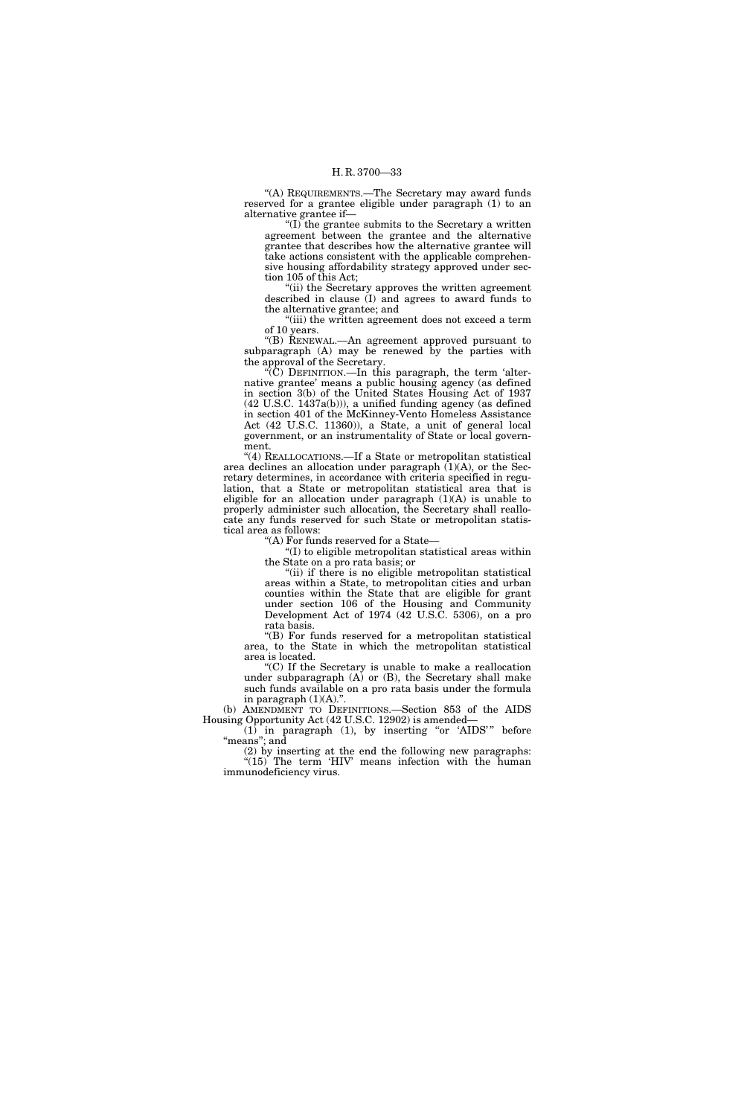''(A) REQUIREMENTS.—The Secretary may award funds reserved for a grantee eligible under paragraph (1) to an alternative grantee if—

''(I) the grantee submits to the Secretary a written agreement between the grantee and the alternative grantee that describes how the alternative grantee will take actions consistent with the applicable comprehensive housing affordability strategy approved under section 105 of this Act;

''(ii) the Secretary approves the written agreement described in clause (I) and agrees to award funds to the alternative grantee; and

"(iii) the written agreement does not exceed a term of 10 years.

''(B) RENEWAL.—An agreement approved pursuant to subparagraph (A) may be renewed by the parties with the approval of the Secretary.

 $\langle C \rangle$  DEFINITION.—In this paragraph, the term 'alternative grantee' means a public housing agency (as defined in section 3(b) of the United States Housing Act of 1937 (42 U.S.C. 1437a(b))), a unified funding agency (as defined in section 401 of the McKinney-Vento Homeless Assistance Act (42 U.S.C. 11360)), a State, a unit of general local government, or an instrumentality of State or local government.

''(4) REALLOCATIONS.—If a State or metropolitan statistical area declines an allocation under paragraph  $(1)(A)$ , or the Secretary determines, in accordance with criteria specified in regulation, that a State or metropolitan statistical area that is eligible for an allocation under paragraph  $(1)(A)$  is unable to properly administer such allocation, the Secretary shall reallocate any funds reserved for such State or metropolitan statistical area as follows:

''(A) For funds reserved for a State—

 $f(1)$  to eligible metropolitan statistical areas within the State on a pro rata basis; or

"(ii) if there is no eligible metropolitan statistical areas within a State, to metropolitan cities and urban counties within the State that are eligible for grant under section 106 of the Housing and Community Development Act of 1974 (42 U.S.C. 5306), on a pro rata basis.

''(B) For funds reserved for a metropolitan statistical area, to the State in which the metropolitan statistical area is located.

''(C) If the Secretary is unable to make a reallocation under subparagraph (A) or (B), the Secretary shall make such funds available on a pro rata basis under the formula in paragraph (1)(A).''.

(b) AMENDMENT TO DEFINITIONS.—Section 853 of the AIDS Housing Opportunity Act (42 U.S.C. 12902) is amended—

 $(1)$  in paragraph  $(1)$ , by inserting "or 'AIDS'" before "means"; and

(2) by inserting at the end the following new paragraphs: " $(15)$  The term 'HIV' means infection with the human immunodeficiency virus.